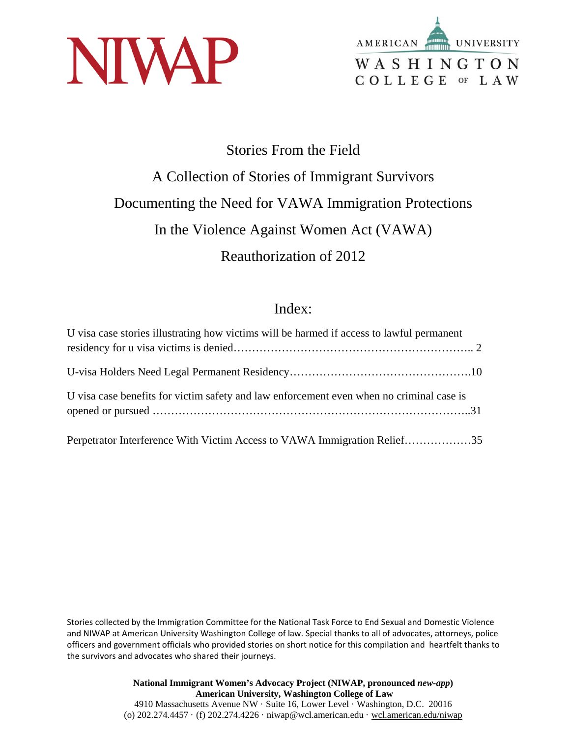



# Stories From the Field A Collection of Stories of Immigrant Survivors Documenting the Need for VAWA Immigration Protections In the Violence Against Women Act (VAWA) Reauthorization of 2012

# Index:

| U visa case stories illustrating how victims will be harmed if access to lawful permanent |
|-------------------------------------------------------------------------------------------|
|                                                                                           |
| U visa case benefits for victim safety and law enforcement even when no criminal case is  |
| Perpetrator Interference With Victim Access to VAWA Immigration Relief35                  |

Stories collected by the Immigration Committee for the National Task Force to End Sexual and Domestic Violence and NIWAP at American University Washington College of law. Special thanks to all of advocates, attorneys, police officers and government officials who provided stories on short notice for this compilation and heartfelt thanks to the survivors and advocates who shared their journeys.

> **National Immigrant Women's Advocacy Project (NIWAP, pronounced** *new-app***) American University, Washington College of Law**  4910 Massachusetts Avenue NW · Suite 16, Lower Level · Washington, D.C. 20016 (o)  $202.274.4457 \cdot$  (f)  $202.274.4226 \cdot$  niwap@wcl.american.edu  $\cdot$  wcl.american.edu/niwap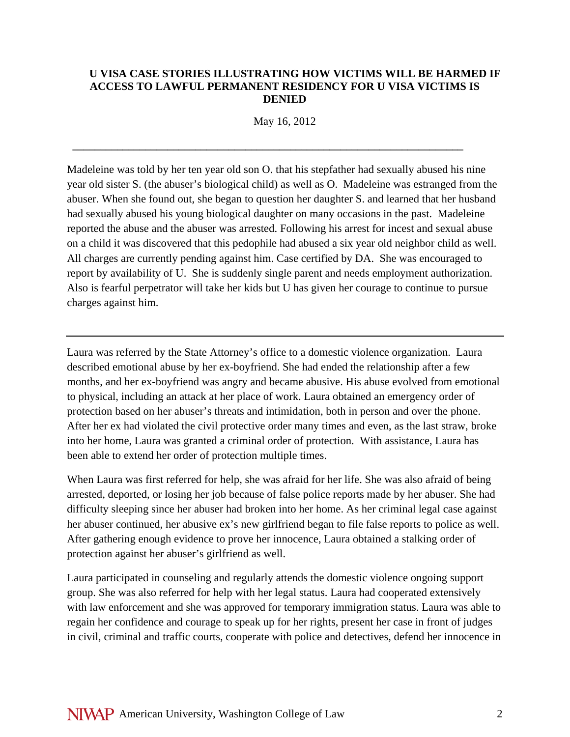# **U VISA CASE STORIES ILLUSTRATING HOW VICTIMS WILL BE HARMED IF ACCESS TO LAWFUL PERMANENT RESIDENCY FOR U VISA VICTIMS IS DENIED**

May 16, 2012

 **\_\_\_\_\_\_\_\_\_\_\_\_\_\_\_\_\_\_\_\_\_\_\_\_\_\_\_\_\_\_\_\_\_\_\_\_\_\_\_\_\_\_\_\_\_\_\_\_\_\_\_\_\_\_\_\_\_\_\_\_\_\_\_\_\_\_\_\_\_\_** 

Madeleine was told by her ten year old son O. that his stepfather had sexually abused his nine year old sister S. (the abuser's biological child) as well as O. Madeleine was estranged from the abuser. When she found out, she began to question her daughter S. and learned that her husband had sexually abused his young biological daughter on many occasions in the past. Madeleine reported the abuse and the abuser was arrested. Following his arrest for incest and sexual abuse on a child it was discovered that this pedophile had abused a six year old neighbor child as well. All charges are currently pending against him. Case certified by DA. She was encouraged to report by availability of U. She is suddenly single parent and needs employment authorization. Also is fearful perpetrator will take her kids but U has given her courage to continue to pursue charges against him.

Laura was referred by the State Attorney's office to a domestic violence organization. Laura described emotional abuse by her ex-boyfriend. She had ended the relationship after a few months, and her ex-boyfriend was angry and became abusive. His abuse evolved from emotional to physical, including an attack at her place of work. Laura obtained an emergency order of protection based on her abuser's threats and intimidation, both in person and over the phone. After her ex had violated the civil protective order many times and even, as the last straw, broke into her home, Laura was granted a criminal order of protection. With assistance, Laura has been able to extend her order of protection multiple times.

When Laura was first referred for help, she was afraid for her life. She was also afraid of being arrested, deported, or losing her job because of false police reports made by her abuser. She had difficulty sleeping since her abuser had broken into her home. As her criminal legal case against her abuser continued, her abusive ex's new girlfriend began to file false reports to police as well. After gathering enough evidence to prove her innocence, Laura obtained a stalking order of protection against her abuser's girlfriend as well.

Laura participated in counseling and regularly attends the domestic violence ongoing support group. She was also referred for help with her legal status. Laura had cooperated extensively with law enforcement and she was approved for temporary immigration status. Laura was able to regain her confidence and courage to speak up for her rights, present her case in front of judges in civil, criminal and traffic courts, cooperate with police and detectives, defend her innocence in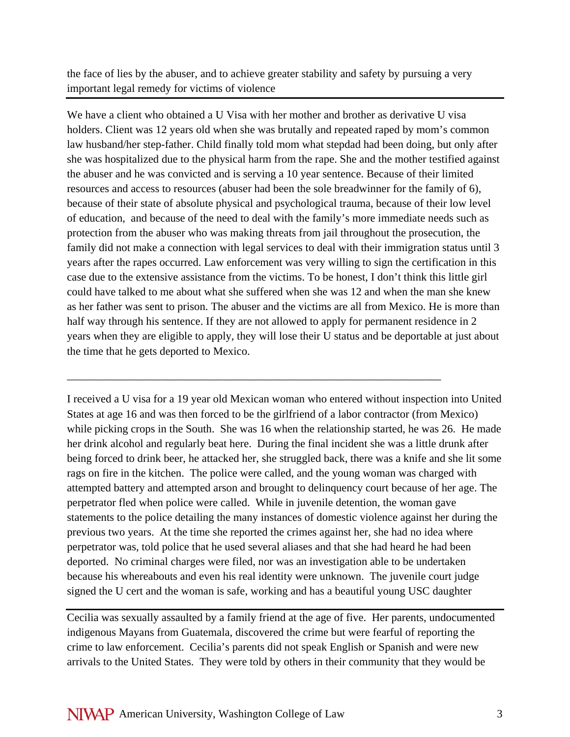the face of lies by the abuser, and to achieve greater stability and safety by pursuing a very important legal remedy for victims of violence

We have a client who obtained a U Visa with her mother and brother as derivative U visa holders. Client was 12 years old when she was brutally and repeated raped by mom's common law husband/her step-father. Child finally told mom what stepdad had been doing, but only after she was hospitalized due to the physical harm from the rape. She and the mother testified against the abuser and he was convicted and is serving a 10 year sentence. Because of their limited resources and access to resources (abuser had been the sole breadwinner for the family of 6), because of their state of absolute physical and psychological trauma, because of their low level of education, and because of the need to deal with the family's more immediate needs such as protection from the abuser who was making threats from jail throughout the prosecution, the family did not make a connection with legal services to deal with their immigration status until 3 years after the rapes occurred. Law enforcement was very willing to sign the certification in this case due to the extensive assistance from the victims. To be honest, I don't think this little girl could have talked to me about what she suffered when she was 12 and when the man she knew as her father was sent to prison. The abuser and the victims are all from Mexico. He is more than half way through his sentence. If they are not allowed to apply for permanent residence in 2 years when they are eligible to apply, they will lose their U status and be deportable at just about the time that he gets deported to Mexico.

I received a U visa for a 19 year old Mexican woman who entered without inspection into United States at age 16 and was then forced to be the girlfriend of a labor contractor (from Mexico) while picking crops in the South. She was 16 when the relationship started, he was 26. He made her drink alcohol and regularly beat here. During the final incident she was a little drunk after being forced to drink beer, he attacked her, she struggled back, there was a knife and she lit some rags on fire in the kitchen. The police were called, and the young woman was charged with attempted battery and attempted arson and brought to delinquency court because of her age. The perpetrator fled when police were called. While in juvenile detention, the woman gave statements to the police detailing the many instances of domestic violence against her during the previous two years. At the time she reported the crimes against her, she had no idea where perpetrator was, told police that he used several aliases and that she had heard he had been deported. No criminal charges were filed, nor was an investigation able to be undertaken because his whereabouts and even his real identity were unknown. The juvenile court judge signed the U cert and the woman is safe, working and has a beautiful young USC daughter

\_\_\_\_\_\_\_\_\_\_\_\_\_\_\_\_\_\_\_\_\_\_\_\_\_\_\_\_\_\_\_\_\_\_\_\_\_\_\_\_\_\_\_\_\_\_\_\_\_\_\_\_\_\_\_\_\_\_\_\_\_\_\_\_\_\_\_

Cecilia was sexually assaulted by a family friend at the age of five. Her parents, undocumented indigenous Mayans from Guatemala, discovered the crime but were fearful of reporting the crime to law enforcement. Cecilia's parents did not speak English or Spanish and were new arrivals to the United States. They were told by others in their community that they would be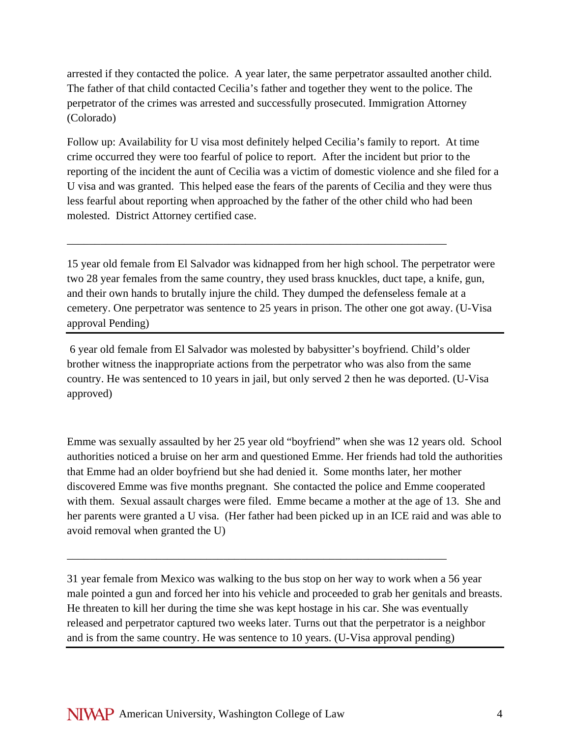arrested if they contacted the police. A year later, the same perpetrator assaulted another child. The father of that child contacted Cecilia's father and together they went to the police. The perpetrator of the crimes was arrested and successfully prosecuted. Immigration Attorney (Colorado)

Follow up: Availability for U visa most definitely helped Cecilia's family to report. At time crime occurred they were too fearful of police to report. After the incident but prior to the reporting of the incident the aunt of Cecilia was a victim of domestic violence and she filed for a U visa and was granted. This helped ease the fears of the parents of Cecilia and they were thus less fearful about reporting when approached by the father of the other child who had been molested. District Attorney certified case.

15 year old female from El Salvador was kidnapped from her high school. The perpetrator were two 28 year females from the same country, they used brass knuckles, duct tape, a knife, gun, and their own hands to brutally injure the child. They dumped the defenseless female at a cemetery. One perpetrator was sentence to 25 years in prison. The other one got away. (U-Visa approval Pending)

\_\_\_\_\_\_\_\_\_\_\_\_\_\_\_\_\_\_\_\_\_\_\_\_\_\_\_\_\_\_\_\_\_\_\_\_\_\_\_\_\_\_\_\_\_\_\_\_\_\_\_\_\_\_\_\_\_\_\_\_\_\_\_\_\_\_\_\_

 6 year old female from El Salvador was molested by babysitter's boyfriend. Child's older brother witness the inappropriate actions from the perpetrator who was also from the same country. He was sentenced to 10 years in jail, but only served 2 then he was deported. (U-Visa approved)

Emme was sexually assaulted by her 25 year old "boyfriend" when she was 12 years old. School authorities noticed a bruise on her arm and questioned Emme. Her friends had told the authorities that Emme had an older boyfriend but she had denied it. Some months later, her mother discovered Emme was five months pregnant. She contacted the police and Emme cooperated with them. Sexual assault charges were filed. Emme became a mother at the age of 13. She and her parents were granted a U visa. (Her father had been picked up in an ICE raid and was able to avoid removal when granted the U)

31 year female from Mexico was walking to the bus stop on her way to work when a 56 year male pointed a gun and forced her into his vehicle and proceeded to grab her genitals and breasts. He threaten to kill her during the time she was kept hostage in his car. She was eventually released and perpetrator captured two weeks later. Turns out that the perpetrator is a neighbor and is from the same country. He was sentence to 10 years. (U-Visa approval pending)

\_\_\_\_\_\_\_\_\_\_\_\_\_\_\_\_\_\_\_\_\_\_\_\_\_\_\_\_\_\_\_\_\_\_\_\_\_\_\_\_\_\_\_\_\_\_\_\_\_\_\_\_\_\_\_\_\_\_\_\_\_\_\_\_\_\_\_\_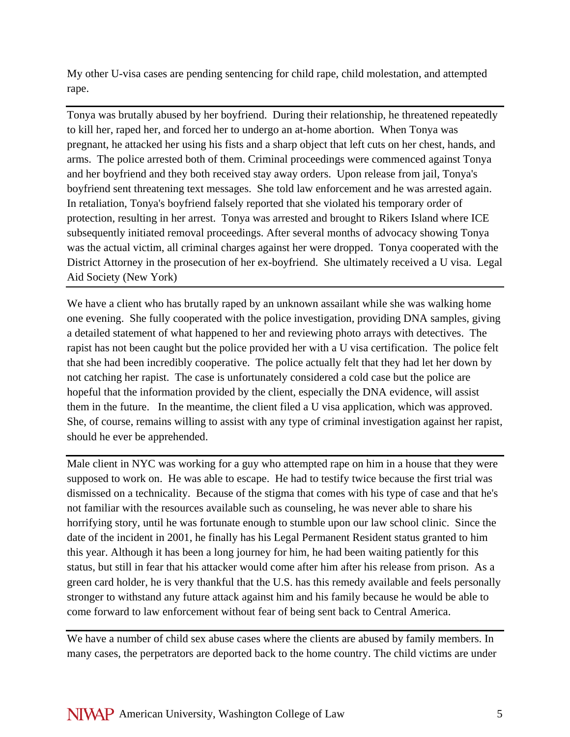My other U-visa cases are pending sentencing for child rape, child molestation, and attempted rape.

Tonya was brutally abused by her boyfriend. During their relationship, he threatened repeatedly to kill her, raped her, and forced her to undergo an at-home abortion. When Tonya was pregnant, he attacked her using his fists and a sharp object that left cuts on her chest, hands, and arms. The police arrested both of them. Criminal proceedings were commenced against Tonya and her boyfriend and they both received stay away orders. Upon release from jail, Tonya's boyfriend sent threatening text messages. She told law enforcement and he was arrested again. In retaliation, Tonya's boyfriend falsely reported that she violated his temporary order of protection, resulting in her arrest. Tonya was arrested and brought to Rikers Island where ICE subsequently initiated removal proceedings. After several months of advocacy showing Tonya was the actual victim, all criminal charges against her were dropped. Tonya cooperated with the District Attorney in the prosecution of her ex-boyfriend. She ultimately received a U visa. Legal Aid Society (New York)

We have a client who has brutally raped by an unknown assailant while she was walking home one evening. She fully cooperated with the police investigation, providing DNA samples, giving a detailed statement of what happened to her and reviewing photo arrays with detectives. The rapist has not been caught but the police provided her with a U visa certification. The police felt that she had been incredibly cooperative. The police actually felt that they had let her down by not catching her rapist. The case is unfortunately considered a cold case but the police are hopeful that the information provided by the client, especially the DNA evidence, will assist them in the future. In the meantime, the client filed a U visa application, which was approved. She, of course, remains willing to assist with any type of criminal investigation against her rapist, should he ever be apprehended.

Male client in NYC was working for a guy who attempted rape on him in a house that they were supposed to work on. He was able to escape. He had to testify twice because the first trial was dismissed on a technicality. Because of the stigma that comes with his type of case and that he's not familiar with the resources available such as counseling, he was never able to share his horrifying story, until he was fortunate enough to stumble upon our law school clinic. Since the date of the incident in 2001, he finally has his Legal Permanent Resident status granted to him this year. Although it has been a long journey for him, he had been waiting patiently for this status, but still in fear that his attacker would come after him after his release from prison. As a green card holder, he is very thankful that the U.S. has this remedy available and feels personally stronger to withstand any future attack against him and his family because he would be able to come forward to law enforcement without fear of being sent back to Central America.

We have a number of child sex abuse cases where the clients are abused by family members. In many cases, the perpetrators are deported back to the home country. The child victims are under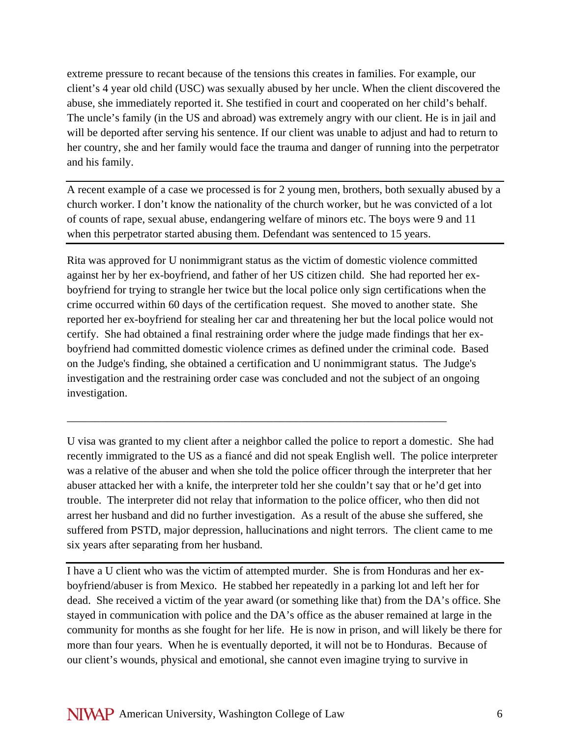extreme pressure to recant because of the tensions this creates in families. For example, our client's 4 year old child (USC) was sexually abused by her uncle. When the client discovered the abuse, she immediately reported it. She testified in court and cooperated on her child's behalf. The uncle's family (in the US and abroad) was extremely angry with our client. He is in jail and will be deported after serving his sentence. If our client was unable to adjust and had to return to her country, she and her family would face the trauma and danger of running into the perpetrator and his family.

A recent example of a case we processed is for 2 young men, brothers, both sexually abused by a church worker. I don't know the nationality of the church worker, but he was convicted of a lot of counts of rape, sexual abuse, endangering welfare of minors etc. The boys were 9 and 11 when this perpetrator started abusing them. Defendant was sentenced to 15 years.

Rita was approved for U nonimmigrant status as the victim of domestic violence committed against her by her ex-boyfriend, and father of her US citizen child. She had reported her exboyfriend for trying to strangle her twice but the local police only sign certifications when the crime occurred within 60 days of the certification request. She moved to another state. She reported her ex-boyfriend for stealing her car and threatening her but the local police would not certify. She had obtained a final restraining order where the judge made findings that her exboyfriend had committed domestic violence crimes as defined under the criminal code. Based on the Judge's finding, she obtained a certification and U nonimmigrant status. The Judge's investigation and the restraining order case was concluded and not the subject of an ongoing investigation.

U visa was granted to my client after a neighbor called the police to report a domestic. She had recently immigrated to the US as a fiancé and did not speak English well. The police interpreter was a relative of the abuser and when she told the police officer through the interpreter that her abuser attacked her with a knife, the interpreter told her she couldn't say that or he'd get into trouble. The interpreter did not relay that information to the police officer, who then did not arrest her husband and did no further investigation. As a result of the abuse she suffered, she suffered from PSTD, major depression, hallucinations and night terrors. The client came to me six years after separating from her husband.

\_\_\_\_\_\_\_\_\_\_\_\_\_\_\_\_\_\_\_\_\_\_\_\_\_\_\_\_\_\_\_\_\_\_\_\_\_\_\_\_\_\_\_\_\_\_\_\_\_\_\_\_\_\_\_\_\_\_\_\_\_\_\_\_\_\_\_\_

I have a U client who was the victim of attempted murder. She is from Honduras and her exboyfriend/abuser is from Mexico. He stabbed her repeatedly in a parking lot and left her for dead. She received a victim of the year award (or something like that) from the DA's office. She stayed in communication with police and the DA's office as the abuser remained at large in the community for months as she fought for her life. He is now in prison, and will likely be there for more than four years. When he is eventually deported, it will not be to Honduras. Because of our client's wounds, physical and emotional, she cannot even imagine trying to survive in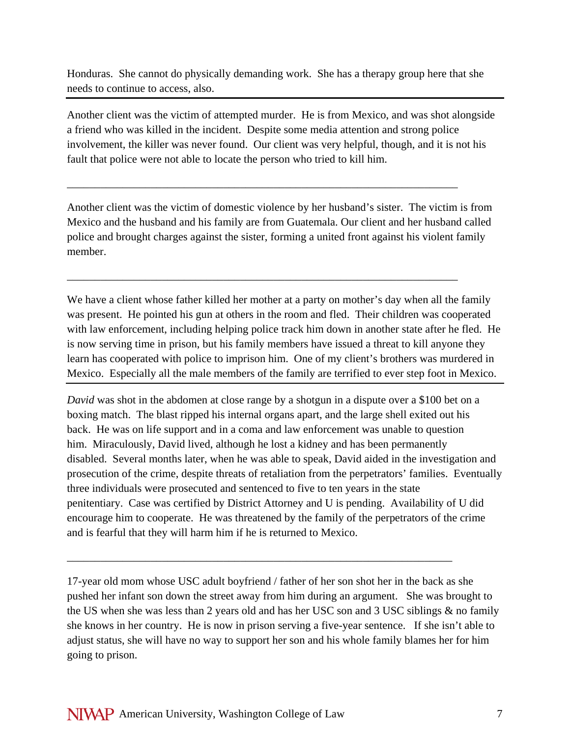Honduras. She cannot do physically demanding work. She has a therapy group here that she needs to continue to access, also.

Another client was the victim of attempted murder. He is from Mexico, and was shot alongside a friend who was killed in the incident. Despite some media attention and strong police involvement, the killer was never found. Our client was very helpful, though, and it is not his fault that police were not able to locate the person who tried to kill him.

Another client was the victim of domestic violence by her husband's sister. The victim is from Mexico and the husband and his family are from Guatemala. Our client and her husband called police and brought charges against the sister, forming a united front against his violent family member.

\_\_\_\_\_\_\_\_\_\_\_\_\_\_\_\_\_\_\_\_\_\_\_\_\_\_\_\_\_\_\_\_\_\_\_\_\_\_\_\_\_\_\_\_\_\_\_\_\_\_\_\_\_\_\_\_\_\_\_\_\_\_\_\_\_\_\_\_\_\_

\_\_\_\_\_\_\_\_\_\_\_\_\_\_\_\_\_\_\_\_\_\_\_\_\_\_\_\_\_\_\_\_\_\_\_\_\_\_\_\_\_\_\_\_\_\_\_\_\_\_\_\_\_\_\_\_\_\_\_\_\_\_\_\_\_\_\_\_\_\_

We have a client whose father killed her mother at a party on mother's day when all the family was present. He pointed his gun at others in the room and fled. Their children was cooperated with law enforcement, including helping police track him down in another state after he fled. He is now serving time in prison, but his family members have issued a threat to kill anyone they learn has cooperated with police to imprison him. One of my client's brothers was murdered in Mexico. Especially all the male members of the family are terrified to ever step foot in Mexico.

*David* was shot in the abdomen at close range by a shotgun in a dispute over a \$100 bet on a boxing match. The blast ripped his internal organs apart, and the large shell exited out his back. He was on life support and in a coma and law enforcement was unable to question him. Miraculously, David lived, although he lost a kidney and has been permanently disabled. Several months later, when he was able to speak, David aided in the investigation and prosecution of the crime, despite threats of retaliation from the perpetrators' families. Eventually three individuals were prosecuted and sentenced to five to ten years in the state penitentiary. Case was certified by District Attorney and U is pending. Availability of U did encourage him to cooperate. He was threatened by the family of the perpetrators of the crime and is fearful that they will harm him if he is returned to Mexico.

17-year old mom whose USC adult boyfriend / father of her son shot her in the back as she pushed her infant son down the street away from him during an argument. She was brought to the US when she was less than 2 years old and has her USC son and 3 USC siblings & no family she knows in her country. He is now in prison serving a five-year sentence. If she isn't able to adjust status, she will have no way to support her son and his whole family blames her for him going to prison.

\_\_\_\_\_\_\_\_\_\_\_\_\_\_\_\_\_\_\_\_\_\_\_\_\_\_\_\_\_\_\_\_\_\_\_\_\_\_\_\_\_\_\_\_\_\_\_\_\_\_\_\_\_\_\_\_\_\_\_\_\_\_\_\_\_\_\_\_\_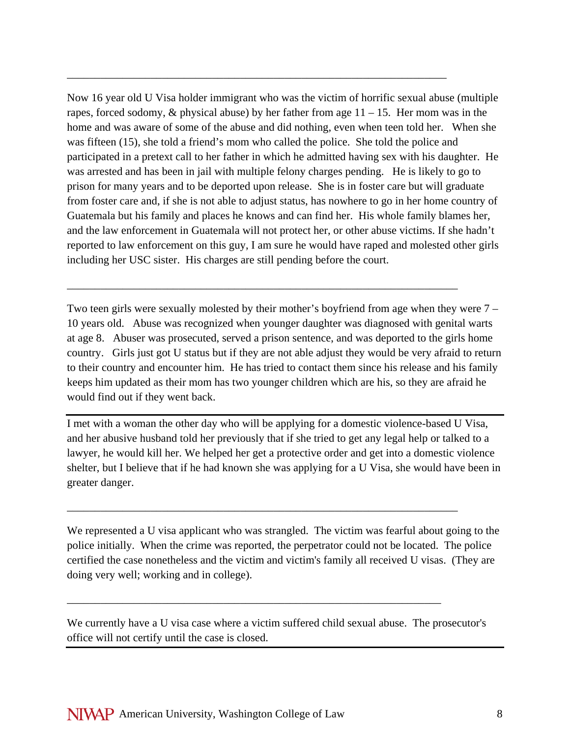Now 16 year old U Visa holder immigrant who was the victim of horrific sexual abuse (multiple rapes, forced sodomy,  $\&$  physical abuse) by her father from age  $11 - 15$ . Her mom was in the home and was aware of some of the abuse and did nothing, even when teen told her. When she was fifteen (15), she told a friend's mom who called the police. She told the police and participated in a pretext call to her father in which he admitted having sex with his daughter. He was arrested and has been in jail with multiple felony charges pending. He is likely to go to prison for many years and to be deported upon release. She is in foster care but will graduate from foster care and, if she is not able to adjust status, has nowhere to go in her home country of Guatemala but his family and places he knows and can find her. His whole family blames her, and the law enforcement in Guatemala will not protect her, or other abuse victims. If she hadn't reported to law enforcement on this guy, I am sure he would have raped and molested other girls including her USC sister. His charges are still pending before the court.

\_\_\_\_\_\_\_\_\_\_\_\_\_\_\_\_\_\_\_\_\_\_\_\_\_\_\_\_\_\_\_\_\_\_\_\_\_\_\_\_\_\_\_\_\_\_\_\_\_\_\_\_\_\_\_\_\_\_\_\_\_\_\_\_\_\_\_\_

Two teen girls were sexually molested by their mother's boyfriend from age when they were 7 – 10 years old. Abuse was recognized when younger daughter was diagnosed with genital warts at age 8. Abuser was prosecuted, served a prison sentence, and was deported to the girls home country. Girls just got U status but if they are not able adjust they would be very afraid to return to their country and encounter him. He has tried to contact them since his release and his family keeps him updated as their mom has two younger children which are his, so they are afraid he would find out if they went back.

\_\_\_\_\_\_\_\_\_\_\_\_\_\_\_\_\_\_\_\_\_\_\_\_\_\_\_\_\_\_\_\_\_\_\_\_\_\_\_\_\_\_\_\_\_\_\_\_\_\_\_\_\_\_\_\_\_\_\_\_\_\_\_\_\_\_\_\_\_\_

I met with a woman the other day who will be applying for a domestic violence-based U Visa, and her abusive husband told her previously that if she tried to get any legal help or talked to a lawyer, he would kill her. We helped her get a protective order and get into a domestic violence shelter, but I believe that if he had known she was applying for a U Visa, she would have been in greater danger.

We represented a U visa applicant who was strangled. The victim was fearful about going to the police initially. When the crime was reported, the perpetrator could not be located. The police certified the case nonetheless and the victim and victim's family all received U visas. (They are doing very well; working and in college).

\_\_\_\_\_\_\_\_\_\_\_\_\_\_\_\_\_\_\_\_\_\_\_\_\_\_\_\_\_\_\_\_\_\_\_\_\_\_\_\_\_\_\_\_\_\_\_\_\_\_\_\_\_\_\_\_\_\_\_\_\_\_\_\_\_\_\_\_\_\_

\_\_\_\_\_\_\_\_\_\_\_\_\_\_\_\_\_\_\_\_\_\_\_\_\_\_\_\_\_\_\_\_\_\_\_\_\_\_\_\_\_\_\_\_\_\_\_\_\_\_\_\_\_\_\_\_\_\_\_\_\_\_\_\_\_\_\_

We currently have a U visa case where a victim suffered child sexual abuse. The prosecutor's office will not certify until the case is closed.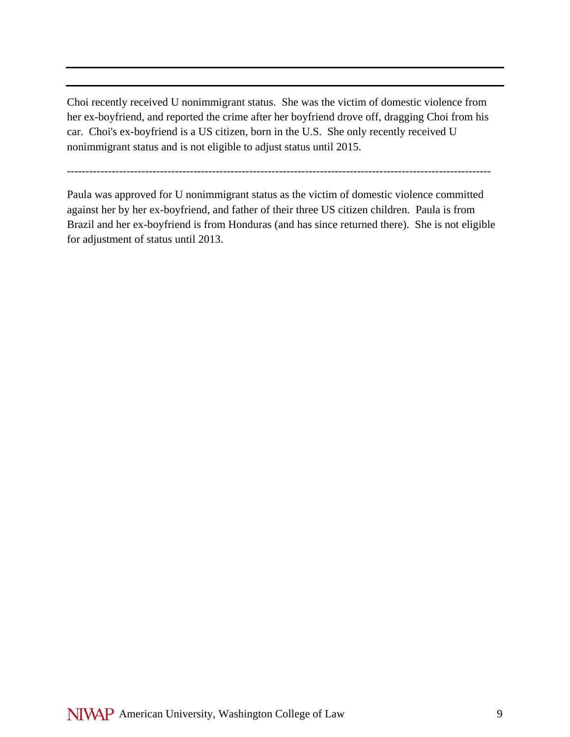Choi recently received U nonimmigrant status. She was the victim of domestic violence from her ex-boyfriend, and reported the crime after her boyfriend drove off, dragging Choi from his car. Choi's ex-boyfriend is a US citizen, born in the U.S. She only recently received U nonimmigrant status and is not eligible to adjust status until 2015.

------------------------------------------------------------------------------------------------------------------

Paula was approved for U nonimmigrant status as the victim of domestic violence committed against her by her ex-boyfriend, and father of their three US citizen children. Paula is from Brazil and her ex-boyfriend is from Honduras (and has since returned there). She is not eligible for adjustment of status until 2013.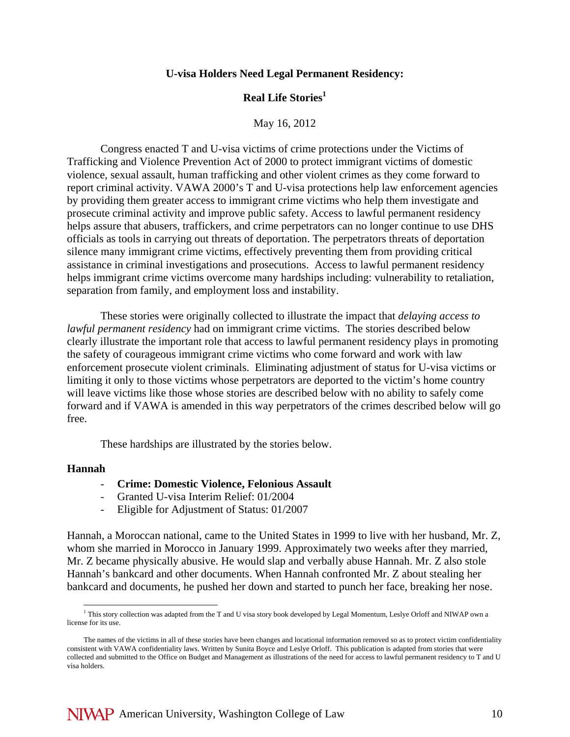#### **U-visa Holders Need Legal Permanent Residency:**

# **Real Life Stories**<sup>1</sup>

May 16, 2012

Congress enacted T and U-visa victims of crime protections under the Victims of Trafficking and Violence Prevention Act of 2000 to protect immigrant victims of domestic violence, sexual assault, human trafficking and other violent crimes as they come forward to report criminal activity. VAWA 2000's T and U-visa protections help law enforcement agencies by providing them greater access to immigrant crime victims who help them investigate and prosecute criminal activity and improve public safety. Access to lawful permanent residency helps assure that abusers, traffickers, and crime perpetrators can no longer continue to use DHS officials as tools in carrying out threats of deportation. The perpetrators threats of deportation silence many immigrant crime victims, effectively preventing them from providing critical assistance in criminal investigations and prosecutions. Access to lawful permanent residency helps immigrant crime victims overcome many hardships including: vulnerability to retaliation, separation from family, and employment loss and instability.

These stories were originally collected to illustrate the impact that *delaying access to lawful permanent residency* had on immigrant crime victims. The stories described below clearly illustrate the important role that access to lawful permanent residency plays in promoting the safety of courageous immigrant crime victims who come forward and work with law enforcement prosecute violent criminals. Eliminating adjustment of status for U-visa victims or limiting it only to those victims whose perpetrators are deported to the victim's home country will leave victims like those whose stories are described below with no ability to safely come forward and if VAWA is amended in this way perpetrators of the crimes described below will go free.

These hardships are illustrated by the stories below.

#### **Hannah**

<u>.</u>

- **Crime: Domestic Violence, Felonious Assault**
- Granted U-visa Interim Relief: 01/2004
- Eligible for Adjustment of Status: 01/2007

Hannah, a Moroccan national, came to the United States in 1999 to live with her husband, Mr. Z, whom she married in Morocco in January 1999. Approximately two weeks after they married, Mr. Z became physically abusive. He would slap and verbally abuse Hannah. Mr. Z also stole Hannah's bankcard and other documents. When Hannah confronted Mr. Z about stealing her bankcard and documents, he pushed her down and started to punch her face, breaking her nose.

<sup>&</sup>lt;sup>1</sup> This story collection was adapted from the T and U visa story book developed by Legal Momentum, Leslye Orloff and NIWAP own a license for its use.

The names of the victims in all of these stories have been changes and locational information removed so as to protect victim confidentiality consistent with VAWA confidentiality laws. Written by Sunita Boyce and Leslye Orloff. This publication is adapted from stories that were collected and submitted to the Office on Budget and Management as illustrations of the need for access to lawful permanent residency to T and U visa holders.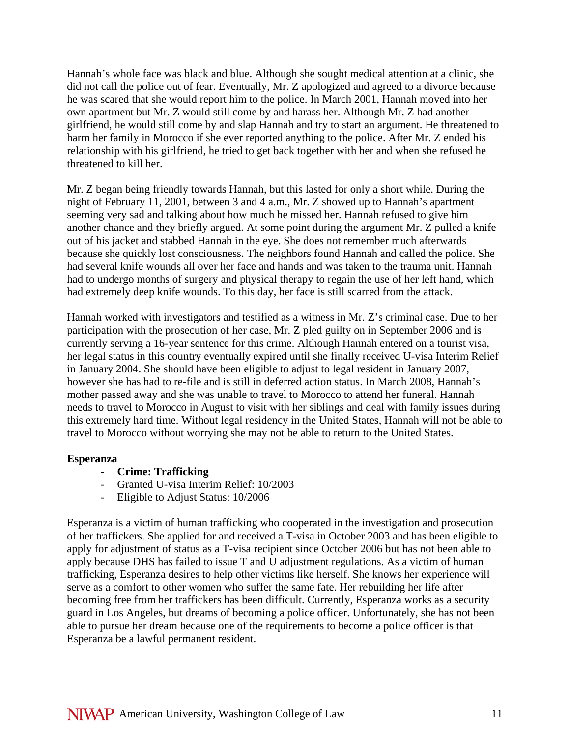Hannah's whole face was black and blue. Although she sought medical attention at a clinic, she did not call the police out of fear. Eventually, Mr. Z apologized and agreed to a divorce because he was scared that she would report him to the police. In March 2001, Hannah moved into her own apartment but Mr. Z would still come by and harass her. Although Mr. Z had another girlfriend, he would still come by and slap Hannah and try to start an argument. He threatened to harm her family in Morocco if she ever reported anything to the police. After Mr. Z ended his relationship with his girlfriend, he tried to get back together with her and when she refused he threatened to kill her.

Mr. Z began being friendly towards Hannah, but this lasted for only a short while. During the night of February 11, 2001, between 3 and 4 a.m., Mr. Z showed up to Hannah's apartment seeming very sad and talking about how much he missed her. Hannah refused to give him another chance and they briefly argued. At some point during the argument Mr. Z pulled a knife out of his jacket and stabbed Hannah in the eye. She does not remember much afterwards because she quickly lost consciousness. The neighbors found Hannah and called the police. She had several knife wounds all over her face and hands and was taken to the trauma unit. Hannah had to undergo months of surgery and physical therapy to regain the use of her left hand, which had extremely deep knife wounds. To this day, her face is still scarred from the attack.

Hannah worked with investigators and testified as a witness in Mr. Z's criminal case. Due to her participation with the prosecution of her case, Mr. Z pled guilty on in September 2006 and is currently serving a 16-year sentence for this crime. Although Hannah entered on a tourist visa, her legal status in this country eventually expired until she finally received U-visa Interim Relief in January 2004. She should have been eligible to adjust to legal resident in January 2007, however she has had to re-file and is still in deferred action status. In March 2008, Hannah's mother passed away and she was unable to travel to Morocco to attend her funeral. Hannah needs to travel to Morocco in August to visit with her siblings and deal with family issues during this extremely hard time. Without legal residency in the United States, Hannah will not be able to travel to Morocco without worrying she may not be able to return to the United States.

# **Esperanza**

- **Crime: Trafficking**
- Granted U-visa Interim Relief: 10/2003
- Eligible to Adjust Status: 10/2006

Esperanza is a victim of human trafficking who cooperated in the investigation and prosecution of her traffickers. She applied for and received a T-visa in October 2003 and has been eligible to apply for adjustment of status as a T-visa recipient since October 2006 but has not been able to apply because DHS has failed to issue T and U adjustment regulations. As a victim of human trafficking, Esperanza desires to help other victims like herself. She knows her experience will serve as a comfort to other women who suffer the same fate. Her rebuilding her life after becoming free from her traffickers has been difficult. Currently, Esperanza works as a security guard in Los Angeles, but dreams of becoming a police officer. Unfortunately, she has not been able to pursue her dream because one of the requirements to become a police officer is that Esperanza be a lawful permanent resident.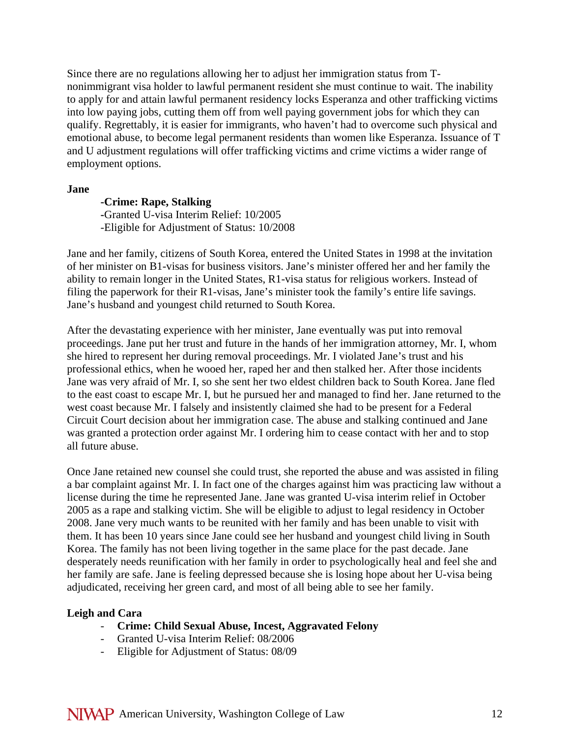Since there are no regulations allowing her to adjust her immigration status from Tnonimmigrant visa holder to lawful permanent resident she must continue to wait. The inability to apply for and attain lawful permanent residency locks Esperanza and other trafficking victims into low paying jobs, cutting them off from well paying government jobs for which they can qualify. Regrettably, it is easier for immigrants, who haven't had to overcome such physical and emotional abuse, to become legal permanent residents than women like Esperanza. Issuance of T and U adjustment regulations will offer trafficking victims and crime victims a wider range of employment options.

#### **Jane**

# **-Crime: Rape, Stalking**

 **-**Granted U-visa Interim Relief: 10/2005 -Eligible for Adjustment of Status: 10/2008

Jane and her family, citizens of South Korea, entered the United States in 1998 at the invitation of her minister on B1-visas for business visitors. Jane's minister offered her and her family the ability to remain longer in the United States, R1-visa status for religious workers. Instead of filing the paperwork for their R1-visas, Jane's minister took the family's entire life savings. Jane's husband and youngest child returned to South Korea.

After the devastating experience with her minister, Jane eventually was put into removal proceedings. Jane put her trust and future in the hands of her immigration attorney, Mr. I, whom she hired to represent her during removal proceedings. Mr. I violated Jane's trust and his professional ethics, when he wooed her, raped her and then stalked her. After those incidents Jane was very afraid of Mr. I, so she sent her two eldest children back to South Korea. Jane fled to the east coast to escape Mr. I, but he pursued her and managed to find her. Jane returned to the west coast because Mr. I falsely and insistently claimed she had to be present for a Federal Circuit Court decision about her immigration case. The abuse and stalking continued and Jane was granted a protection order against Mr. I ordering him to cease contact with her and to stop all future abuse.

Once Jane retained new counsel she could trust, she reported the abuse and was assisted in filing a bar complaint against Mr. I. In fact one of the charges against him was practicing law without a license during the time he represented Jane. Jane was granted U-visa interim relief in October 2005 as a rape and stalking victim. She will be eligible to adjust to legal residency in October 2008. Jane very much wants to be reunited with her family and has been unable to visit with them. It has been 10 years since Jane could see her husband and youngest child living in South Korea. The family has not been living together in the same place for the past decade. Jane desperately needs reunification with her family in order to psychologically heal and feel she and her family are safe. Jane is feeling depressed because she is losing hope about her U-visa being adjudicated, receiving her green card, and most of all being able to see her family.

# **Leigh and Cara**

- **Crime: Child Sexual Abuse, Incest, Aggravated Felony**
- Granted U-visa Interim Relief: 08/2006
- Eligible for Adjustment of Status: 08/09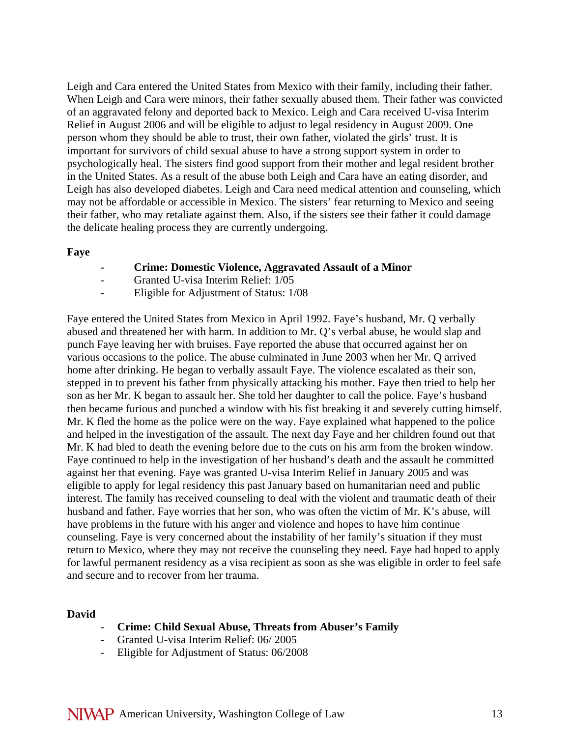Leigh and Cara entered the United States from Mexico with their family, including their father. When Leigh and Cara were minors, their father sexually abused them. Their father was convicted of an aggravated felony and deported back to Mexico. Leigh and Cara received U-visa Interim Relief in August 2006 and will be eligible to adjust to legal residency in August 2009. One person whom they should be able to trust, their own father, violated the girls' trust. It is important for survivors of child sexual abuse to have a strong support system in order to psychologically heal. The sisters find good support from their mother and legal resident brother in the United States. As a result of the abuse both Leigh and Cara have an eating disorder, and Leigh has also developed diabetes. Leigh and Cara need medical attention and counseling, which may not be affordable or accessible in Mexico. The sisters' fear returning to Mexico and seeing their father, who may retaliate against them. Also, if the sisters see their father it could damage the delicate healing process they are currently undergoing.

#### **Faye**

- **Crime: Domestic Violence, Aggravated Assault of a Minor**
- Granted U-visa Interim Relief:  $1/05$
- Eligible for Adjustment of Status: 1/08

Faye entered the United States from Mexico in April 1992. Faye's husband, Mr. Q verbally abused and threatened her with harm. In addition to Mr. Q's verbal abuse, he would slap and punch Faye leaving her with bruises. Faye reported the abuse that occurred against her on various occasions to the police. The abuse culminated in June 2003 when her Mr. Q arrived home after drinking. He began to verbally assault Faye. The violence escalated as their son, stepped in to prevent his father from physically attacking his mother. Faye then tried to help her son as her Mr. K began to assault her. She told her daughter to call the police. Faye's husband then became furious and punched a window with his fist breaking it and severely cutting himself. Mr. K fled the home as the police were on the way. Faye explained what happened to the police and helped in the investigation of the assault. The next day Faye and her children found out that Mr. K had bled to death the evening before due to the cuts on his arm from the broken window. Faye continued to help in the investigation of her husband's death and the assault he committed against her that evening. Faye was granted U-visa Interim Relief in January 2005 and was eligible to apply for legal residency this past January based on humanitarian need and public interest. The family has received counseling to deal with the violent and traumatic death of their husband and father. Faye worries that her son, who was often the victim of Mr. K's abuse, will have problems in the future with his anger and violence and hopes to have him continue counseling. Faye is very concerned about the instability of her family's situation if they must return to Mexico, where they may not receive the counseling they need. Faye had hoped to apply for lawful permanent residency as a visa recipient as soon as she was eligible in order to feel safe and secure and to recover from her trauma.

#### **David**

- **Crime: Child Sexual Abuse, Threats from Abuser's Family**
- Granted U-visa Interim Relief: 06/ 2005
- Eligible for Adjustment of Status: 06/2008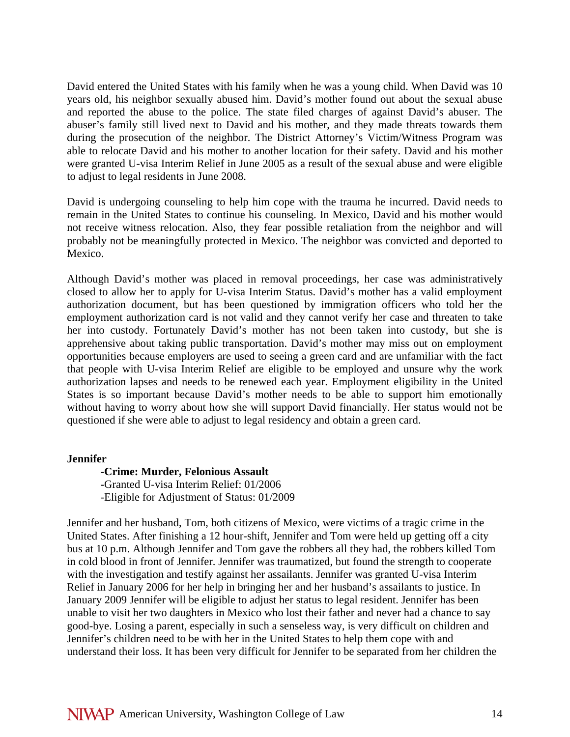David entered the United States with his family when he was a young child. When David was 10 years old, his neighbor sexually abused him. David's mother found out about the sexual abuse and reported the abuse to the police. The state filed charges of against David's abuser. The abuser's family still lived next to David and his mother, and they made threats towards them during the prosecution of the neighbor. The District Attorney's Victim/Witness Program was able to relocate David and his mother to another location for their safety. David and his mother were granted U-visa Interim Relief in June 2005 as a result of the sexual abuse and were eligible to adjust to legal residents in June 2008.

David is undergoing counseling to help him cope with the trauma he incurred. David needs to remain in the United States to continue his counseling. In Mexico, David and his mother would not receive witness relocation. Also, they fear possible retaliation from the neighbor and will probably not be meaningfully protected in Mexico. The neighbor was convicted and deported to Mexico.

Although David's mother was placed in removal proceedings, her case was administratively closed to allow her to apply for U-visa Interim Status. David's mother has a valid employment authorization document, but has been questioned by immigration officers who told her the employment authorization card is not valid and they cannot verify her case and threaten to take her into custody. Fortunately David's mother has not been taken into custody, but she is apprehensive about taking public transportation. David's mother may miss out on employment opportunities because employers are used to seeing a green card and are unfamiliar with the fact that people with U-visa Interim Relief are eligible to be employed and unsure why the work authorization lapses and needs to be renewed each year. Employment eligibility in the United States is so important because David's mother needs to be able to support him emotionally without having to worry about how she will support David financially. Her status would not be questioned if she were able to adjust to legal residency and obtain a green card.

# **Jennifer**

#### **-Crime: Murder, Felonious Assault**

 **-**Granted U-visa Interim Relief: 01/2006 -Eligible for Adjustment of Status: 01/2009

Jennifer and her husband, Tom, both citizens of Mexico, were victims of a tragic crime in the United States. After finishing a 12 hour-shift, Jennifer and Tom were held up getting off a city bus at 10 p.m. Although Jennifer and Tom gave the robbers all they had, the robbers killed Tom in cold blood in front of Jennifer. Jennifer was traumatized, but found the strength to cooperate with the investigation and testify against her assailants. Jennifer was granted U-visa Interim Relief in January 2006 for her help in bringing her and her husband's assailants to justice. In January 2009 Jennifer will be eligible to adjust her status to legal resident. Jennifer has been unable to visit her two daughters in Mexico who lost their father and never had a chance to say good-bye. Losing a parent, especially in such a senseless way, is very difficult on children and Jennifer's children need to be with her in the United States to help them cope with and understand their loss. It has been very difficult for Jennifer to be separated from her children the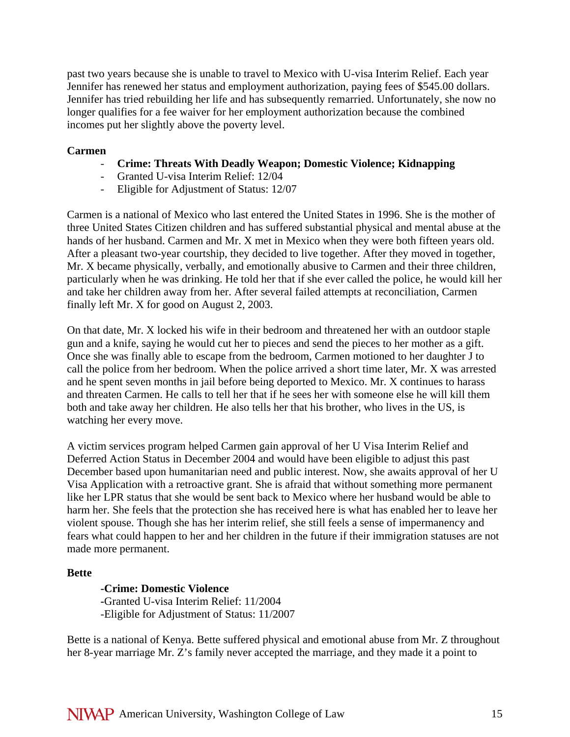past two years because she is unable to travel to Mexico with U-visa Interim Relief. Each year Jennifer has renewed her status and employment authorization, paying fees of \$545.00 dollars. Jennifer has tried rebuilding her life and has subsequently remarried. Unfortunately, she now no longer qualifies for a fee waiver for her employment authorization because the combined incomes put her slightly above the poverty level.

# **Carmen**

- **Crime: Threats With Deadly Weapon; Domestic Violence; Kidnapping**
- Granted U-visa Interim Relief: 12/04
- Eligible for Adjustment of Status: 12/07

Carmen is a national of Mexico who last entered the United States in 1996. She is the mother of three United States Citizen children and has suffered substantial physical and mental abuse at the hands of her husband. Carmen and Mr. X met in Mexico when they were both fifteen years old. After a pleasant two-year courtship, they decided to live together. After they moved in together, Mr. X became physically, verbally, and emotionally abusive to Carmen and their three children, particularly when he was drinking. He told her that if she ever called the police, he would kill her and take her children away from her. After several failed attempts at reconciliation, Carmen finally left Mr. X for good on August 2, 2003.

On that date, Mr. X locked his wife in their bedroom and threatened her with an outdoor staple gun and a knife, saying he would cut her to pieces and send the pieces to her mother as a gift. Once she was finally able to escape from the bedroom, Carmen motioned to her daughter J to call the police from her bedroom. When the police arrived a short time later, Mr. X was arrested and he spent seven months in jail before being deported to Mexico. Mr. X continues to harass and threaten Carmen. He calls to tell her that if he sees her with someone else he will kill them both and take away her children. He also tells her that his brother, who lives in the US, is watching her every move.

A victim services program helped Carmen gain approval of her U Visa Interim Relief and Deferred Action Status in December 2004 and would have been eligible to adjust this past December based upon humanitarian need and public interest. Now, she awaits approval of her U Visa Application with a retroactive grant. She is afraid that without something more permanent like her LPR status that she would be sent back to Mexico where her husband would be able to harm her. She feels that the protection she has received here is what has enabled her to leave her violent spouse. Though she has her interim relief, she still feels a sense of impermanency and fears what could happen to her and her children in the future if their immigration statuses are not made more permanent.

#### **Bette**

# **-Crime: Domestic Violence**

 **-**Granted U-visa Interim Relief: 11/2004 -Eligible for Adjustment of Status: 11/2007

Bette is a national of Kenya. Bette suffered physical and emotional abuse from Mr. Z throughout her 8-year marriage Mr. Z's family never accepted the marriage, and they made it a point to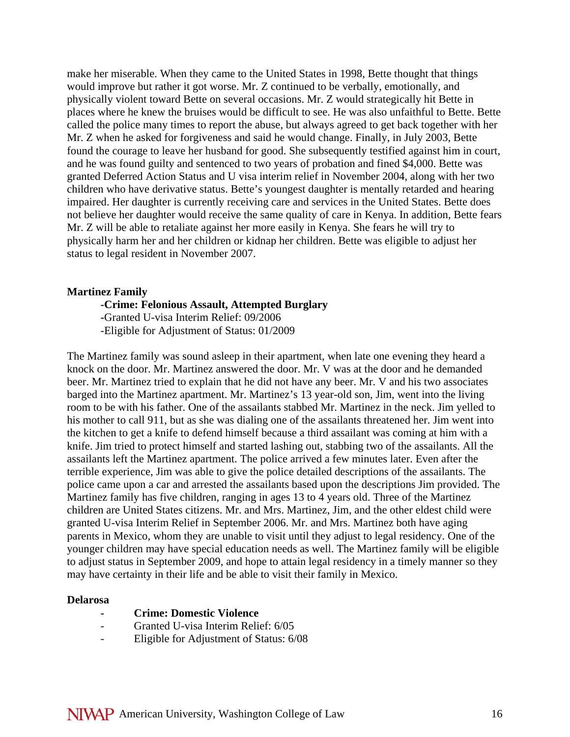make her miserable. When they came to the United States in 1998, Bette thought that things would improve but rather it got worse. Mr. Z continued to be verbally, emotionally, and physically violent toward Bette on several occasions. Mr. Z would strategically hit Bette in places where he knew the bruises would be difficult to see. He was also unfaithful to Bette. Bette called the police many times to report the abuse, but always agreed to get back together with her Mr. Z when he asked for forgiveness and said he would change. Finally, in July 2003, Bette found the courage to leave her husband for good. She subsequently testified against him in court, and he was found guilty and sentenced to two years of probation and fined \$4,000. Bette was granted Deferred Action Status and U visa interim relief in November 2004, along with her two children who have derivative status. Bette's youngest daughter is mentally retarded and hearing impaired. Her daughter is currently receiving care and services in the United States. Bette does not believe her daughter would receive the same quality of care in Kenya. In addition, Bette fears Mr. Z will be able to retaliate against her more easily in Kenya. She fears he will try to physically harm her and her children or kidnap her children. Bette was eligible to adjust her status to legal resident in November 2007.

#### **Martinez Family**

**-Crime: Felonious Assault, Attempted Burglary** 

 **-**Granted U-visa Interim Relief: 09/2006

-Eligible for Adjustment of Status: 01/2009

The Martinez family was sound asleep in their apartment, when late one evening they heard a knock on the door. Mr. Martinez answered the door. Mr. V was at the door and he demanded beer. Mr. Martinez tried to explain that he did not have any beer. Mr. V and his two associates barged into the Martinez apartment. Mr. Martinez's 13 year-old son, Jim, went into the living room to be with his father. One of the assailants stabbed Mr. Martinez in the neck. Jim yelled to his mother to call 911, but as she was dialing one of the assailants threatened her. Jim went into the kitchen to get a knife to defend himself because a third assailant was coming at him with a knife. Jim tried to protect himself and started lashing out, stabbing two of the assailants. All the assailants left the Martinez apartment. The police arrived a few minutes later. Even after the terrible experience, Jim was able to give the police detailed descriptions of the assailants. The police came upon a car and arrested the assailants based upon the descriptions Jim provided. The Martinez family has five children, ranging in ages 13 to 4 years old. Three of the Martinez children are United States citizens. Mr. and Mrs. Martinez, Jim, and the other eldest child were granted U-visa Interim Relief in September 2006. Mr. and Mrs. Martinez both have aging parents in Mexico, whom they are unable to visit until they adjust to legal residency. One of the younger children may have special education needs as well. The Martinez family will be eligible to adjust status in September 2009, and hope to attain legal residency in a timely manner so they may have certainty in their life and be able to visit their family in Mexico.

#### **Delarosa**

- **Crime: Domestic Violence**
- Granted U-visa Interim Relief: 6/05
- Eligible for Adjustment of Status: 6/08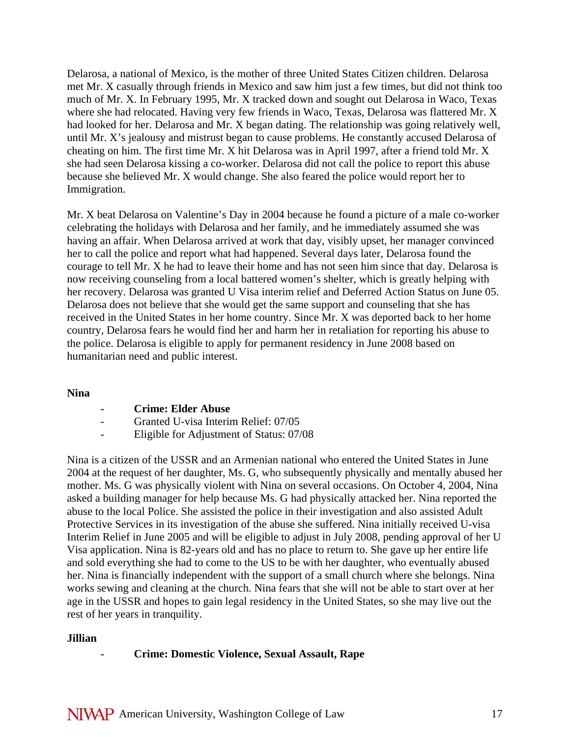Delarosa, a national of Mexico, is the mother of three United States Citizen children. Delarosa met Mr. X casually through friends in Mexico and saw him just a few times, but did not think too much of Mr. X. In February 1995, Mr. X tracked down and sought out Delarosa in Waco, Texas where she had relocated. Having very few friends in Waco, Texas, Delarosa was flattered Mr. X had looked for her. Delarosa and Mr. X began dating. The relationship was going relatively well, until Mr. X's jealousy and mistrust began to cause problems. He constantly accused Delarosa of cheating on him. The first time Mr. X hit Delarosa was in April 1997, after a friend told Mr. X she had seen Delarosa kissing a co-worker. Delarosa did not call the police to report this abuse because she believed Mr. X would change. She also feared the police would report her to Immigration.

Mr. X beat Delarosa on Valentine's Day in 2004 because he found a picture of a male co-worker celebrating the holidays with Delarosa and her family, and he immediately assumed she was having an affair. When Delarosa arrived at work that day, visibly upset, her manager convinced her to call the police and report what had happened. Several days later, Delarosa found the courage to tell Mr. X he had to leave their home and has not seen him since that day. Delarosa is now receiving counseling from a local battered women's shelter, which is greatly helping with her recovery. Delarosa was granted U Visa interim relief and Deferred Action Status on June 05. Delarosa does not believe that she would get the same support and counseling that she has received in the United States in her home country. Since Mr. X was deported back to her home country, Delarosa fears he would find her and harm her in retaliation for reporting his abuse to the police. Delarosa is eligible to apply for permanent residency in June 2008 based on humanitarian need and public interest.

# **Nina**

# **- Crime: Elder Abuse**

- Granted U-visa Interim Relief: 07/05
- Eligible for Adjustment of Status: 07/08

Nina is a citizen of the USSR and an Armenian national who entered the United States in June 2004 at the request of her daughter, Ms. G, who subsequently physically and mentally abused her mother. Ms. G was physically violent with Nina on several occasions. On October 4, 2004, Nina asked a building manager for help because Ms. G had physically attacked her. Nina reported the abuse to the local Police. She assisted the police in their investigation and also assisted Adult Protective Services in its investigation of the abuse she suffered. Nina initially received U-visa Interim Relief in June 2005 and will be eligible to adjust in July 2008, pending approval of her U Visa application. Nina is 82-years old and has no place to return to. She gave up her entire life and sold everything she had to come to the US to be with her daughter, who eventually abused her. Nina is financially independent with the support of a small church where she belongs. Nina works sewing and cleaning at the church. Nina fears that she will not be able to start over at her age in the USSR and hopes to gain legal residency in the United States, so she may live out the rest of her years in tranquility.

# **Jillian**

# **- Crime: Domestic Violence, Sexual Assault, Rape**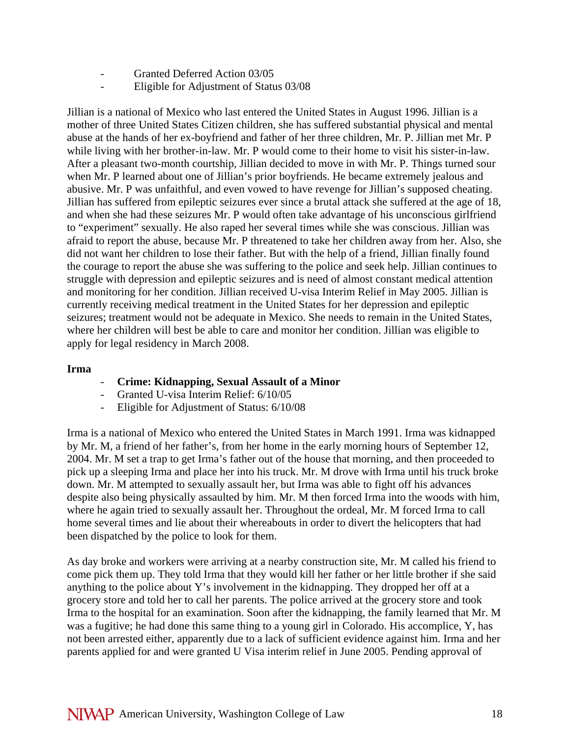- Granted Deferred Action 03/05
- Eligible for Adjustment of Status 03/08

Jillian is a national of Mexico who last entered the United States in August 1996. Jillian is a mother of three United States Citizen children, she has suffered substantial physical and mental abuse at the hands of her ex-boyfriend and father of her three children, Mr. P. Jillian met Mr. P while living with her brother-in-law. Mr. P would come to their home to visit his sister-in-law. After a pleasant two-month courtship, Jillian decided to move in with Mr. P. Things turned sour when Mr. P learned about one of Jillian's prior boyfriends. He became extremely jealous and abusive. Mr. P was unfaithful, and even vowed to have revenge for Jillian's supposed cheating. Jillian has suffered from epileptic seizures ever since a brutal attack she suffered at the age of 18, and when she had these seizures Mr. P would often take advantage of his unconscious girlfriend to "experiment" sexually. He also raped her several times while she was conscious. Jillian was afraid to report the abuse, because Mr. P threatened to take her children away from her. Also, she did not want her children to lose their father. But with the help of a friend, Jillian finally found the courage to report the abuse she was suffering to the police and seek help. Jillian continues to struggle with depression and epileptic seizures and is need of almost constant medical attention and monitoring for her condition. Jillian received U-visa Interim Relief in May 2005. Jillian is currently receiving medical treatment in the United States for her depression and epileptic seizures; treatment would not be adequate in Mexico. She needs to remain in the United States, where her children will best be able to care and monitor her condition. Jillian was eligible to apply for legal residency in March 2008.

# **Irma**

- **Crime: Kidnapping, Sexual Assault of a Minor**
- Granted U-visa Interim Relief: 6/10/05
- Eligible for Adjustment of Status: 6/10/08

Irma is a national of Mexico who entered the United States in March 1991. Irma was kidnapped by Mr. M, a friend of her father's, from her home in the early morning hours of September 12, 2004. Mr. M set a trap to get Irma's father out of the house that morning, and then proceeded to pick up a sleeping Irma and place her into his truck. Mr. M drove with Irma until his truck broke down. Mr. M attempted to sexually assault her, but Irma was able to fight off his advances despite also being physically assaulted by him. Mr. M then forced Irma into the woods with him, where he again tried to sexually assault her. Throughout the ordeal, Mr. M forced Irma to call home several times and lie about their whereabouts in order to divert the helicopters that had been dispatched by the police to look for them.

As day broke and workers were arriving at a nearby construction site, Mr. M called his friend to come pick them up. They told Irma that they would kill her father or her little brother if she said anything to the police about Y's involvement in the kidnapping. They dropped her off at a grocery store and told her to call her parents. The police arrived at the grocery store and took Irma to the hospital for an examination. Soon after the kidnapping, the family learned that Mr. M was a fugitive; he had done this same thing to a young girl in Colorado. His accomplice, Y, has not been arrested either, apparently due to a lack of sufficient evidence against him. Irma and her parents applied for and were granted U Visa interim relief in June 2005. Pending approval of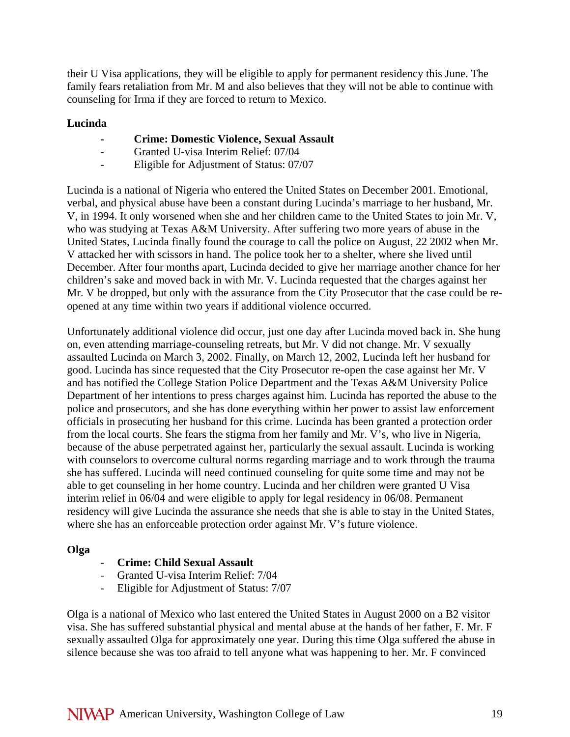their U Visa applications, they will be eligible to apply for permanent residency this June. The family fears retaliation from Mr. M and also believes that they will not be able to continue with counseling for Irma if they are forced to return to Mexico.

# **Lucinda**

- **Crime: Domestic Violence, Sexual Assault**
- Granted U-visa Interim Relief: 07/04
- Eligible for Adjustment of Status: 07/07

Lucinda is a national of Nigeria who entered the United States on December 2001. Emotional, verbal, and physical abuse have been a constant during Lucinda's marriage to her husband, Mr. V, in 1994. It only worsened when she and her children came to the United States to join Mr. V, who was studying at Texas A&M University. After suffering two more years of abuse in the United States, Lucinda finally found the courage to call the police on August, 22 2002 when Mr. V attacked her with scissors in hand. The police took her to a shelter, where she lived until December. After four months apart, Lucinda decided to give her marriage another chance for her children's sake and moved back in with Mr. V. Lucinda requested that the charges against her Mr. V be dropped, but only with the assurance from the City Prosecutor that the case could be reopened at any time within two years if additional violence occurred.

Unfortunately additional violence did occur, just one day after Lucinda moved back in. She hung on, even attending marriage-counseling retreats, but Mr. V did not change. Mr. V sexually assaulted Lucinda on March 3, 2002. Finally, on March 12, 2002, Lucinda left her husband for good. Lucinda has since requested that the City Prosecutor re-open the case against her Mr. V and has notified the College Station Police Department and the Texas A&M University Police Department of her intentions to press charges against him. Lucinda has reported the abuse to the police and prosecutors, and she has done everything within her power to assist law enforcement officials in prosecuting her husband for this crime. Lucinda has been granted a protection order from the local courts. She fears the stigma from her family and Mr. V's, who live in Nigeria, because of the abuse perpetrated against her, particularly the sexual assault. Lucinda is working with counselors to overcome cultural norms regarding marriage and to work through the trauma she has suffered. Lucinda will need continued counseling for quite some time and may not be able to get counseling in her home country. Lucinda and her children were granted U Visa interim relief in 06/04 and were eligible to apply for legal residency in 06/08. Permanent residency will give Lucinda the assurance she needs that she is able to stay in the United States, where she has an enforceable protection order against Mr. V's future violence.

# **Olga**

- **Crime: Child Sexual Assault**
- Granted U-visa Interim Relief: 7/04
- Eligible for Adjustment of Status: 7/07

Olga is a national of Mexico who last entered the United States in August 2000 on a B2 visitor visa. She has suffered substantial physical and mental abuse at the hands of her father, F. Mr. F sexually assaulted Olga for approximately one year. During this time Olga suffered the abuse in silence because she was too afraid to tell anyone what was happening to her. Mr. F convinced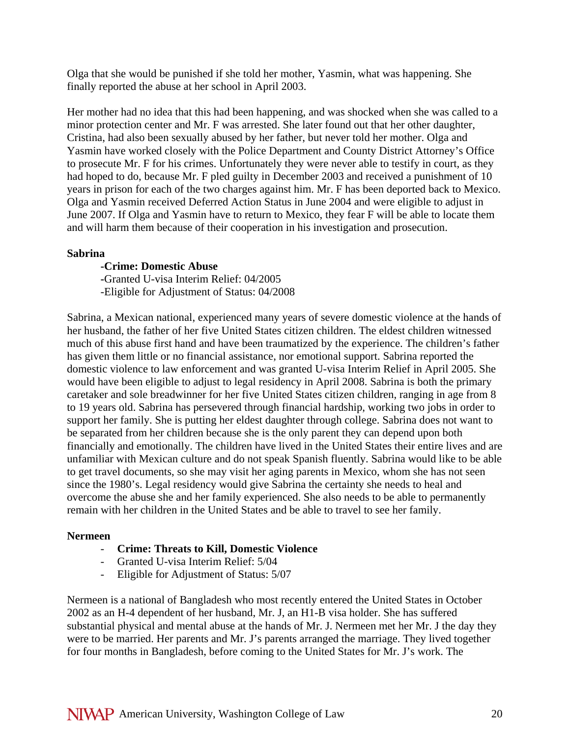Olga that she would be punished if she told her mother, Yasmin, what was happening. She finally reported the abuse at her school in April 2003.

Her mother had no idea that this had been happening, and was shocked when she was called to a minor protection center and Mr. F was arrested. She later found out that her other daughter, Cristina, had also been sexually abused by her father, but never told her mother. Olga and Yasmin have worked closely with the Police Department and County District Attorney's Office to prosecute Mr. F for his crimes. Unfortunately they were never able to testify in court, as they had hoped to do, because Mr. F pled guilty in December 2003 and received a punishment of 10 years in prison for each of the two charges against him. Mr. F has been deported back to Mexico. Olga and Yasmin received Deferred Action Status in June 2004 and were eligible to adjust in June 2007. If Olga and Yasmin have to return to Mexico, they fear F will be able to locate them and will harm them because of their cooperation in his investigation and prosecution.

# **Sabrina**

# **-Crime: Domestic Abuse**

 **-**Granted U-visa Interim Relief: 04/2005

-Eligible for Adjustment of Status: 04/2008

Sabrina, a Mexican national, experienced many years of severe domestic violence at the hands of her husband, the father of her five United States citizen children. The eldest children witnessed much of this abuse first hand and have been traumatized by the experience. The children's father has given them little or no financial assistance, nor emotional support. Sabrina reported the domestic violence to law enforcement and was granted U-visa Interim Relief in April 2005. She would have been eligible to adjust to legal residency in April 2008. Sabrina is both the primary caretaker and sole breadwinner for her five United States citizen children, ranging in age from 8 to 19 years old. Sabrina has persevered through financial hardship, working two jobs in order to support her family. She is putting her eldest daughter through college. Sabrina does not want to be separated from her children because she is the only parent they can depend upon both financially and emotionally. The children have lived in the United States their entire lives and are unfamiliar with Mexican culture and do not speak Spanish fluently. Sabrina would like to be able to get travel documents, so she may visit her aging parents in Mexico, whom she has not seen since the 1980's. Legal residency would give Sabrina the certainty she needs to heal and overcome the abuse she and her family experienced. She also needs to be able to permanently remain with her children in the United States and be able to travel to see her family.

# **Nermeen**

- **Crime: Threats to Kill, Domestic Violence**
- Granted U-visa Interim Relief: 5/04
- Eligible for Adjustment of Status: 5/07

Nermeen is a national of Bangladesh who most recently entered the United States in October 2002 as an H-4 dependent of her husband, Mr. J, an H1-B visa holder. She has suffered substantial physical and mental abuse at the hands of Mr. J. Nermeen met her Mr. J the day they were to be married. Her parents and Mr. J's parents arranged the marriage. They lived together for four months in Bangladesh, before coming to the United States for Mr. J's work. The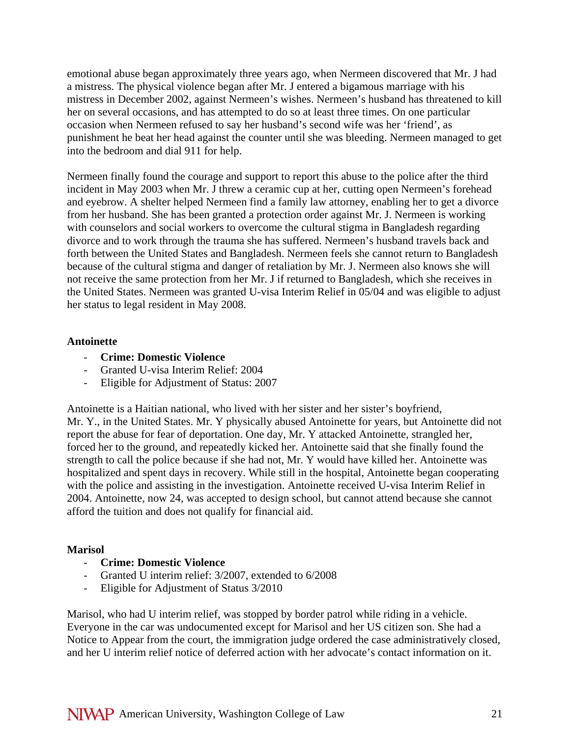emotional abuse began approximately three years ago, when Nermeen discovered that Mr. J had a mistress. The physical violence began after Mr. J entered a bigamous marriage with his mistress in December 2002, against Nermeen's wishes. Nermeen's husband has threatened to kill her on several occasions, and has attempted to do so at least three times. On one particular occasion when Nermeen refused to say her husband's second wife was her 'friend', as punishment he beat her head against the counter until she was bleeding. Nermeen managed to get into the bedroom and dial 911 for help.

Nermeen finally found the courage and support to report this abuse to the police after the third incident in May 2003 when Mr. J threw a ceramic cup at her, cutting open Nermeen's forehead and eyebrow. A shelter helped Nermeen find a family law attorney, enabling her to get a divorce from her husband. She has been granted a protection order against Mr. J. Nermeen is working with counselors and social workers to overcome the cultural stigma in Bangladesh regarding divorce and to work through the trauma she has suffered. Nermeen's husband travels back and forth between the United States and Bangladesh. Nermeen feels she cannot return to Bangladesh because of the cultural stigma and danger of retaliation by Mr. J. Nermeen also knows she will not receive the same protection from her Mr. J if returned to Bangladesh, which she receives in the United States. Nermeen was granted U-visa Interim Relief in 05/04 and was eligible to adjust her status to legal resident in May 2008.

# **Antoinette**

- **Crime: Domestic Violence**
- Granted U-visa Interim Relief: 2004
- Eligible for Adjustment of Status: 2007

Antoinette is a Haitian national, who lived with her sister and her sister's boyfriend, Mr. Y., in the United States. Mr. Y physically abused Antoinette for years, but Antoinette did not report the abuse for fear of deportation. One day, Mr. Y attacked Antoinette, strangled her, forced her to the ground, and repeatedly kicked her. Antoinette said that she finally found the strength to call the police because if she had not, Mr. Y would have killed her. Antoinette was hospitalized and spent days in recovery. While still in the hospital, Antoinette began cooperating with the police and assisting in the investigation. Antoinette received U-visa Interim Relief in 2004. Antoinette, now 24, was accepted to design school, but cannot attend because she cannot afford the tuition and does not qualify for financial aid.

# **Marisol**

- **Crime: Domestic Violence**
- Granted U interim relief: 3/2007, extended to 6/2008
- Eligible for Adjustment of Status 3/2010

Marisol, who had U interim relief, was stopped by border patrol while riding in a vehicle. Everyone in the car was undocumented except for Marisol and her US citizen son. She had a Notice to Appear from the court, the immigration judge ordered the case administratively closed, and her U interim relief notice of deferred action with her advocate's contact information on it.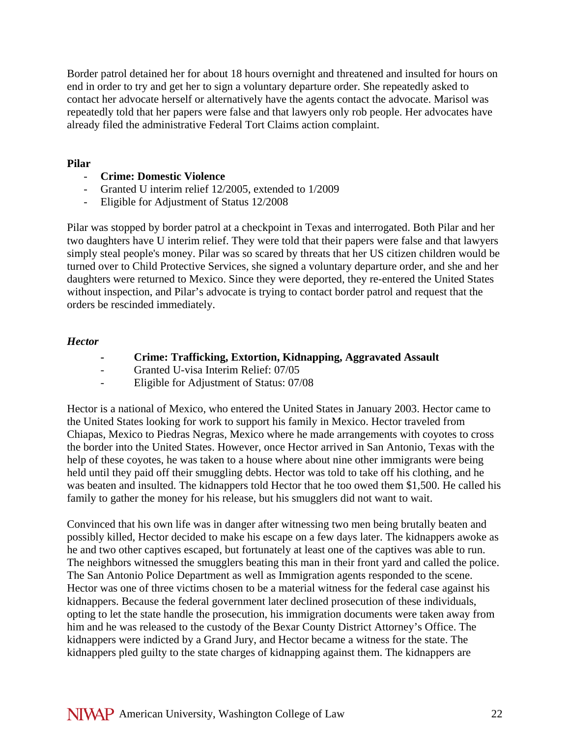Border patrol detained her for about 18 hours overnight and threatened and insulted for hours on end in order to try and get her to sign a voluntary departure order. She repeatedly asked to contact her advocate herself or alternatively have the agents contact the advocate. Marisol was repeatedly told that her papers were false and that lawyers only rob people. Her advocates have already filed the administrative Federal Tort Claims action complaint.

# **Pilar**

- **Crime: Domestic Violence**
- Granted U interim relief 12/2005, extended to 1/2009
- Eligible for Adjustment of Status 12/2008

Pilar was stopped by border patrol at a checkpoint in Texas and interrogated. Both Pilar and her two daughters have U interim relief. They were told that their papers were false and that lawyers simply steal people's money. Pilar was so scared by threats that her US citizen children would be turned over to Child Protective Services, she signed a voluntary departure order, and she and her daughters were returned to Mexico. Since they were deported, they re-entered the United States without inspection, and Pilar's advocate is trying to contact border patrol and request that the orders be rescinded immediately.

# *Hector*

- **Crime: Trafficking, Extortion, Kidnapping, Aggravated Assault**
- Granted U-visa Interim Relief: 07/05
- Eligible for Adjustment of Status: 07/08

Hector is a national of Mexico, who entered the United States in January 2003. Hector came to the United States looking for work to support his family in Mexico. Hector traveled from Chiapas, Mexico to Piedras Negras, Mexico where he made arrangements with coyotes to cross the border into the United States. However, once Hector arrived in San Antonio, Texas with the help of these coyotes, he was taken to a house where about nine other immigrants were being held until they paid off their smuggling debts. Hector was told to take off his clothing, and he was beaten and insulted. The kidnappers told Hector that he too owed them \$1,500. He called his family to gather the money for his release, but his smugglers did not want to wait.

Convinced that his own life was in danger after witnessing two men being brutally beaten and possibly killed, Hector decided to make his escape on a few days later. The kidnappers awoke as he and two other captives escaped, but fortunately at least one of the captives was able to run. The neighbors witnessed the smugglers beating this man in their front yard and called the police. The San Antonio Police Department as well as Immigration agents responded to the scene. Hector was one of three victims chosen to be a material witness for the federal case against his kidnappers. Because the federal government later declined prosecution of these individuals, opting to let the state handle the prosecution, his immigration documents were taken away from him and he was released to the custody of the Bexar County District Attorney's Office. The kidnappers were indicted by a Grand Jury, and Hector became a witness for the state. The kidnappers pled guilty to the state charges of kidnapping against them. The kidnappers are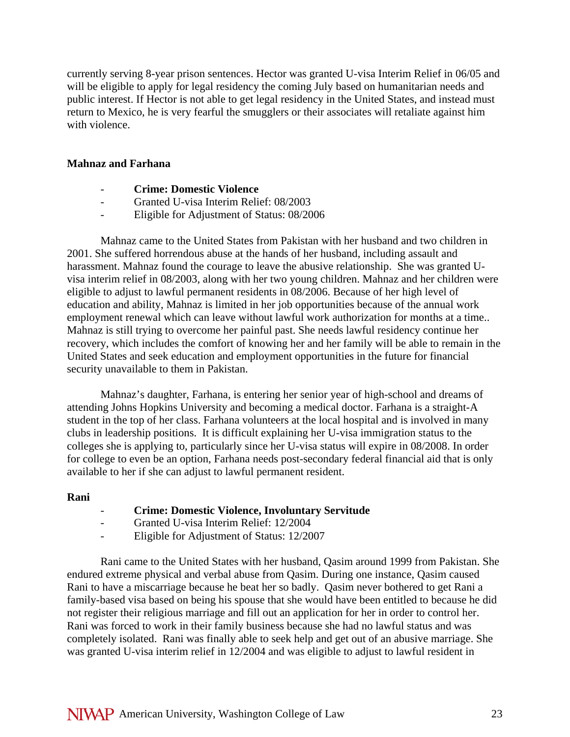currently serving 8-year prison sentences. Hector was granted U-visa Interim Relief in 06/05 and will be eligible to apply for legal residency the coming July based on humanitarian needs and public interest. If Hector is not able to get legal residency in the United States, and instead must return to Mexico, he is very fearful the smugglers or their associates will retaliate against him with violence.

#### **Mahnaz and Farhana**

- **Crime: Domestic Violence**
- Granted U-visa Interim Relief: 08/2003
- Eligible for Adjustment of Status: 08/2006

Mahnaz came to the United States from Pakistan with her husband and two children in 2001. She suffered horrendous abuse at the hands of her husband, including assault and harassment. Mahnaz found the courage to leave the abusive relationship. She was granted Uvisa interim relief in 08/2003, along with her two young children. Mahnaz and her children were eligible to adjust to lawful permanent residents in 08/2006. Because of her high level of education and ability, Mahnaz is limited in her job opportunities because of the annual work employment renewal which can leave without lawful work authorization for months at a time.. Mahnaz is still trying to overcome her painful past. She needs lawful residency continue her recovery, which includes the comfort of knowing her and her family will be able to remain in the United States and seek education and employment opportunities in the future for financial security unavailable to them in Pakistan.

Mahnaz's daughter, Farhana, is entering her senior year of high-school and dreams of attending Johns Hopkins University and becoming a medical doctor. Farhana is a straight-A student in the top of her class. Farhana volunteers at the local hospital and is involved in many clubs in leadership positions. It is difficult explaining her U-visa immigration status to the colleges she is applying to, particularly since her U-visa status will expire in 08/2008. In order for college to even be an option, Farhana needs post-secondary federal financial aid that is only available to her if she can adjust to lawful permanent resident.

#### **Rani**

#### - **Crime: Domestic Violence, Involuntary Servitude**

- Granted U-visa Interim Relief: 12/2004
- Eligible for Adjustment of Status: 12/2007

Rani came to the United States with her husband, Qasim around 1999 from Pakistan. She endured extreme physical and verbal abuse from Qasim. During one instance, Qasim caused Rani to have a miscarriage because he beat her so badly. Qasim never bothered to get Rani a family-based visa based on being his spouse that she would have been entitled to because he did not register their religious marriage and fill out an application for her in order to control her. Rani was forced to work in their family business because she had no lawful status and was completely isolated. Rani was finally able to seek help and get out of an abusive marriage. She was granted U-visa interim relief in 12/2004 and was eligible to adjust to lawful resident in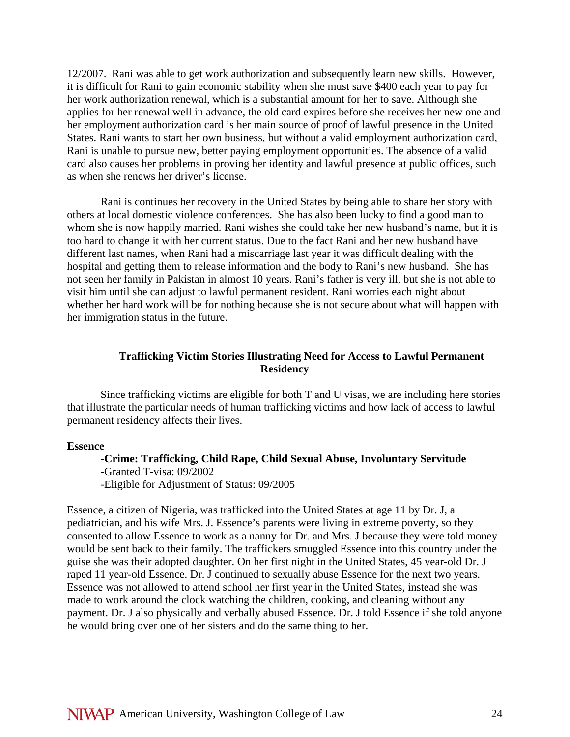12/2007. Rani was able to get work authorization and subsequently learn new skills. However, it is difficult for Rani to gain economic stability when she must save \$400 each year to pay for her work authorization renewal, which is a substantial amount for her to save. Although she applies for her renewal well in advance, the old card expires before she receives her new one and her employment authorization card is her main source of proof of lawful presence in the United States. Rani wants to start her own business, but without a valid employment authorization card, Rani is unable to pursue new, better paying employment opportunities. The absence of a valid card also causes her problems in proving her identity and lawful presence at public offices, such as when she renews her driver's license.

Rani is continues her recovery in the United States by being able to share her story with others at local domestic violence conferences. She has also been lucky to find a good man to whom she is now happily married. Rani wishes she could take her new husband's name, but it is too hard to change it with her current status. Due to the fact Rani and her new husband have different last names, when Rani had a miscarriage last year it was difficult dealing with the hospital and getting them to release information and the body to Rani's new husband. She has not seen her family in Pakistan in almost 10 years. Rani's father is very ill, but she is not able to visit him until she can adjust to lawful permanent resident. Rani worries each night about whether her hard work will be for nothing because she is not secure about what will happen with her immigration status in the future.

# **Trafficking Victim Stories Illustrating Need for Access to Lawful Permanent Residency**

Since trafficking victims are eligible for both T and U visas, we are including here stories that illustrate the particular needs of human trafficking victims and how lack of access to lawful permanent residency affects their lives.

#### **Essence**

# **-Crime: Trafficking, Child Rape, Child Sexual Abuse, Involuntary Servitude -**Granted T-visa: 09/2002

-Eligible for Adjustment of Status: 09/2005

Essence, a citizen of Nigeria, was trafficked into the United States at age 11 by Dr. J, a pediatrician, and his wife Mrs. J. Essence's parents were living in extreme poverty, so they consented to allow Essence to work as a nanny for Dr. and Mrs. J because they were told money would be sent back to their family. The traffickers smuggled Essence into this country under the guise she was their adopted daughter. On her first night in the United States, 45 year-old Dr. J raped 11 year-old Essence. Dr. J continued to sexually abuse Essence for the next two years. Essence was not allowed to attend school her first year in the United States, instead she was made to work around the clock watching the children, cooking, and cleaning without any payment. Dr. J also physically and verbally abused Essence. Dr. J told Essence if she told anyone he would bring over one of her sisters and do the same thing to her.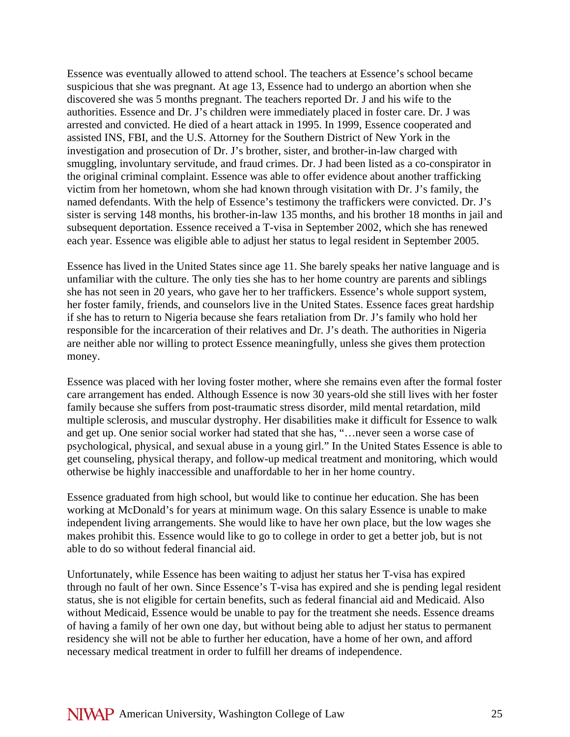Essence was eventually allowed to attend school. The teachers at Essence's school became suspicious that she was pregnant. At age 13, Essence had to undergo an abortion when she discovered she was 5 months pregnant. The teachers reported Dr. J and his wife to the authorities. Essence and Dr. J's children were immediately placed in foster care. Dr. J was arrested and convicted. He died of a heart attack in 1995. In 1999, Essence cooperated and assisted INS, FBI, and the U.S. Attorney for the Southern District of New York in the investigation and prosecution of Dr. J's brother, sister, and brother-in-law charged with smuggling, involuntary servitude, and fraud crimes. Dr. J had been listed as a co-conspirator in the original criminal complaint. Essence was able to offer evidence about another trafficking victim from her hometown, whom she had known through visitation with Dr. J's family, the named defendants. With the help of Essence's testimony the traffickers were convicted. Dr. J's sister is serving 148 months, his brother-in-law 135 months, and his brother 18 months in jail and subsequent deportation. Essence received a T-visa in September 2002, which she has renewed each year. Essence was eligible able to adjust her status to legal resident in September 2005.

Essence has lived in the United States since age 11. She barely speaks her native language and is unfamiliar with the culture. The only ties she has to her home country are parents and siblings she has not seen in 20 years, who gave her to her traffickers. Essence's whole support system, her foster family, friends, and counselors live in the United States. Essence faces great hardship if she has to return to Nigeria because she fears retaliation from Dr. J's family who hold her responsible for the incarceration of their relatives and Dr. J's death. The authorities in Nigeria are neither able nor willing to protect Essence meaningfully, unless she gives them protection money.

Essence was placed with her loving foster mother, where she remains even after the formal foster care arrangement has ended. Although Essence is now 30 years-old she still lives with her foster family because she suffers from post-traumatic stress disorder, mild mental retardation, mild multiple sclerosis, and muscular dystrophy. Her disabilities make it difficult for Essence to walk and get up. One senior social worker had stated that she has, "…never seen a worse case of psychological, physical, and sexual abuse in a young girl." In the United States Essence is able to get counseling, physical therapy, and follow-up medical treatment and monitoring, which would otherwise be highly inaccessible and unaffordable to her in her home country.

Essence graduated from high school, but would like to continue her education. She has been working at McDonald's for years at minimum wage. On this salary Essence is unable to make independent living arrangements. She would like to have her own place, but the low wages she makes prohibit this. Essence would like to go to college in order to get a better job, but is not able to do so without federal financial aid.

Unfortunately, while Essence has been waiting to adjust her status her T-visa has expired through no fault of her own. Since Essence's T-visa has expired and she is pending legal resident status, she is not eligible for certain benefits, such as federal financial aid and Medicaid. Also without Medicaid, Essence would be unable to pay for the treatment she needs. Essence dreams of having a family of her own one day, but without being able to adjust her status to permanent residency she will not be able to further her education, have a home of her own, and afford necessary medical treatment in order to fulfill her dreams of independence.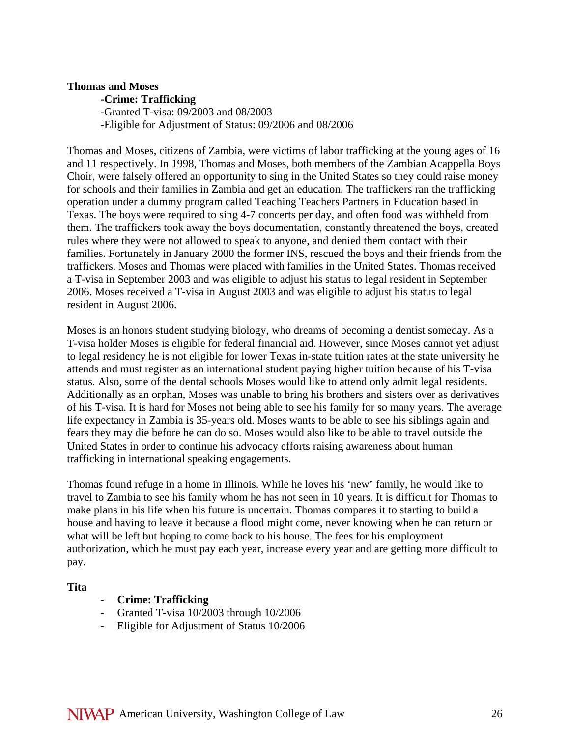# **Thomas and Moses**

# **-Crime: Trafficking**

 **-**Granted T-visa: 09/2003 and 08/2003 -Eligible for Adjustment of Status: 09/2006 and 08/2006

Thomas and Moses, citizens of Zambia, were victims of labor trafficking at the young ages of 16 and 11 respectively. In 1998, Thomas and Moses, both members of the Zambian Acappella Boys Choir, were falsely offered an opportunity to sing in the United States so they could raise money for schools and their families in Zambia and get an education. The traffickers ran the trafficking operation under a dummy program called Teaching Teachers Partners in Education based in Texas. The boys were required to sing 4-7 concerts per day, and often food was withheld from them. The traffickers took away the boys documentation, constantly threatened the boys, created rules where they were not allowed to speak to anyone, and denied them contact with their families. Fortunately in January 2000 the former INS, rescued the boys and their friends from the traffickers. Moses and Thomas were placed with families in the United States. Thomas received a T-visa in September 2003 and was eligible to adjust his status to legal resident in September 2006. Moses received a T-visa in August 2003 and was eligible to adjust his status to legal resident in August 2006.

Moses is an honors student studying biology, who dreams of becoming a dentist someday. As a T-visa holder Moses is eligible for federal financial aid. However, since Moses cannot yet adjust to legal residency he is not eligible for lower Texas in-state tuition rates at the state university he attends and must register as an international student paying higher tuition because of his T-visa status. Also, some of the dental schools Moses would like to attend only admit legal residents. Additionally as an orphan, Moses was unable to bring his brothers and sisters over as derivatives of his T-visa. It is hard for Moses not being able to see his family for so many years. The average life expectancy in Zambia is 35-years old. Moses wants to be able to see his siblings again and fears they may die before he can do so. Moses would also like to be able to travel outside the United States in order to continue his advocacy efforts raising awareness about human trafficking in international speaking engagements.

Thomas found refuge in a home in Illinois. While he loves his 'new' family, he would like to travel to Zambia to see his family whom he has not seen in 10 years. It is difficult for Thomas to make plans in his life when his future is uncertain. Thomas compares it to starting to build a house and having to leave it because a flood might come, never knowing when he can return or what will be left but hoping to come back to his house. The fees for his employment authorization, which he must pay each year, increase every year and are getting more difficult to pay.

# **Tita**

- **Crime: Trafficking**
- Granted T-visa 10/2003 through 10/2006
- Eligible for Adjustment of Status 10/2006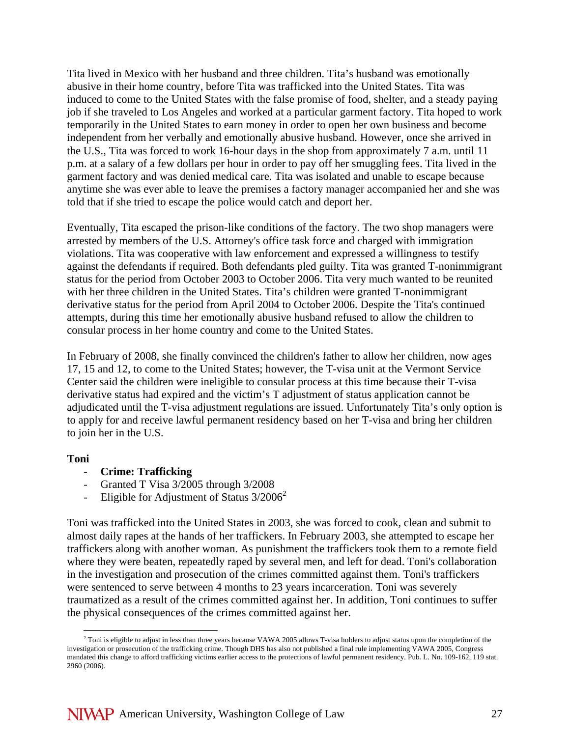Tita lived in Mexico with her husband and three children. Tita's husband was emotionally abusive in their home country, before Tita was trafficked into the United States. Tita was induced to come to the United States with the false promise of food, shelter, and a steady paying job if she traveled to Los Angeles and worked at a particular garment factory. Tita hoped to work temporarily in the United States to earn money in order to open her own business and become independent from her verbally and emotionally abusive husband. However, once she arrived in the U.S., Tita was forced to work 16-hour days in the shop from approximately 7 a.m. until 11 p.m. at a salary of a few dollars per hour in order to pay off her smuggling fees. Tita lived in the garment factory and was denied medical care. Tita was isolated and unable to escape because anytime she was ever able to leave the premises a factory manager accompanied her and she was told that if she tried to escape the police would catch and deport her.

Eventually, Tita escaped the prison-like conditions of the factory. The two shop managers were arrested by members of the U.S. Attorney's office task force and charged with immigration violations. Tita was cooperative with law enforcement and expressed a willingness to testify against the defendants if required. Both defendants pled guilty. Tita was granted T-nonimmigrant status for the period from October 2003 to October 2006. Tita very much wanted to be reunited with her three children in the United States. Tita's children were granted T-nonimmigrant derivative status for the period from April 2004 to October 2006. Despite the Tita's continued attempts, during this time her emotionally abusive husband refused to allow the children to consular process in her home country and come to the United States.

In February of 2008, she finally convinced the children's father to allow her children, now ages 17, 15 and 12, to come to the United States; however, the T-visa unit at the Vermont Service Center said the children were ineligible to consular process at this time because their T-visa derivative status had expired and the victim's T adjustment of status application cannot be adjudicated until the T-visa adjustment regulations are issued. Unfortunately Tita's only option is to apply for and receive lawful permanent residency based on her T-visa and bring her children to join her in the U.S.

# **Toni**

1

- **Crime: Trafficking**
- Granted T Visa 3/2005 through 3/2008
- Eligible for Adjustment of Status  $3/2006^2$

Toni was trafficked into the United States in 2003, she was forced to cook, clean and submit to almost daily rapes at the hands of her traffickers. In February 2003, she attempted to escape her traffickers along with another woman. As punishment the traffickers took them to a remote field where they were beaten, repeatedly raped by several men, and left for dead. Toni's collaboration in the investigation and prosecution of the crimes committed against them. Toni's traffickers were sentenced to serve between 4 months to 23 years incarceration. Toni was severely traumatized as a result of the crimes committed against her. In addition, Toni continues to suffer the physical consequences of the crimes committed against her.

<sup>&</sup>lt;sup>2</sup> Toni is eligible to adjust in less than three years because VAWA 2005 allows T-visa holders to adjust status upon the completion of the investigation or prosecution of the trafficking crime. Though DHS has also not published a final rule implementing VAWA 2005, Congress mandated this change to afford trafficking victims earlier access to the protections of lawful permanent residency. Pub. L. No. 109-162, 119 stat. 2960 (2006).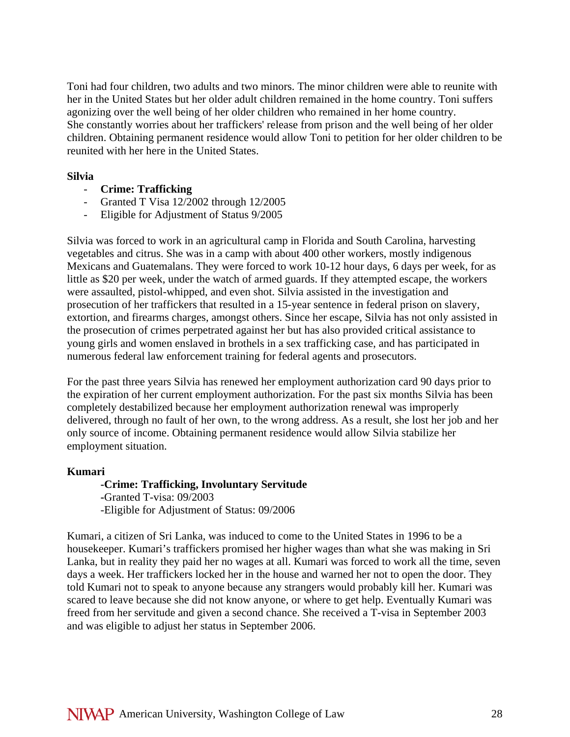Toni had four children, two adults and two minors. The minor children were able to reunite with her in the United States but her older adult children remained in the home country. Toni suffers agonizing over the well being of her older children who remained in her home country. She constantly worries about her traffickers' release from prison and the well being of her older children. Obtaining permanent residence would allow Toni to petition for her older children to be reunited with her here in the United States.

#### **Silvia**

- **Crime: Trafficking**
- Granted T Visa 12/2002 through 12/2005
- Eligible for Adjustment of Status 9/2005

Silvia was forced to work in an agricultural camp in Florida and South Carolina, harvesting vegetables and citrus. She was in a camp with about 400 other workers, mostly indigenous Mexicans and Guatemalans. They were forced to work 10-12 hour days, 6 days per week, for as little as \$20 per week, under the watch of armed guards. If they attempted escape, the workers were assaulted, pistol-whipped, and even shot. Silvia assisted in the investigation and prosecution of her traffickers that resulted in a 15-year sentence in federal prison on slavery, extortion, and firearms charges, amongst others. Since her escape, Silvia has not only assisted in the prosecution of crimes perpetrated against her but has also provided critical assistance to young girls and women enslaved in brothels in a sex trafficking case, and has participated in numerous federal law enforcement training for federal agents and prosecutors.

For the past three years Silvia has renewed her employment authorization card 90 days prior to the expiration of her current employment authorization. For the past six months Silvia has been completely destabilized because her employment authorization renewal was improperly delivered, through no fault of her own, to the wrong address. As a result, she lost her job and her only source of income. Obtaining permanent residence would allow Silvia stabilize her employment situation.

# **Kumari**

#### **-Crime: Trafficking, Involuntary Servitude -**Granted T-visa: 09/2003

-Eligible for Adjustment of Status: 09/2006

Kumari, a citizen of Sri Lanka, was induced to come to the United States in 1996 to be a housekeeper. Kumari's traffickers promised her higher wages than what she was making in Sri Lanka, but in reality they paid her no wages at all. Kumari was forced to work all the time, seven days a week. Her traffickers locked her in the house and warned her not to open the door. They told Kumari not to speak to anyone because any strangers would probably kill her. Kumari was scared to leave because she did not know anyone, or where to get help. Eventually Kumari was freed from her servitude and given a second chance. She received a T-visa in September 2003 and was eligible to adjust her status in September 2006.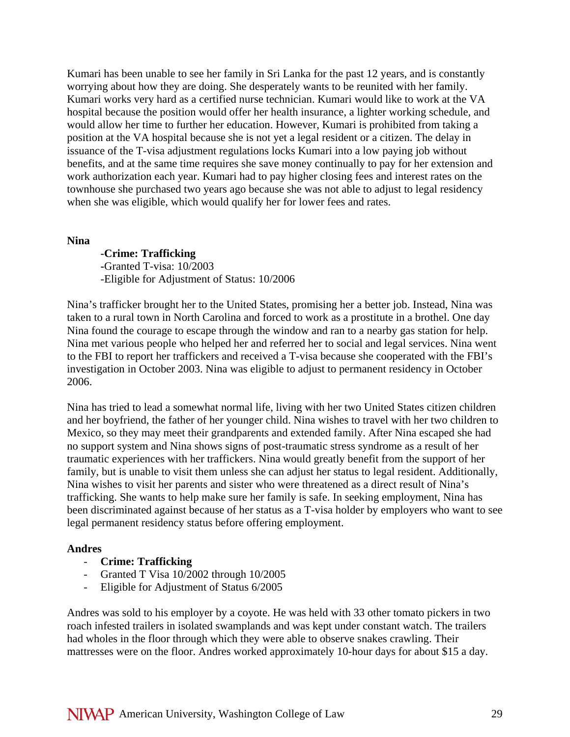Kumari has been unable to see her family in Sri Lanka for the past 12 years, and is constantly worrying about how they are doing. She desperately wants to be reunited with her family. Kumari works very hard as a certified nurse technician. Kumari would like to work at the VA hospital because the position would offer her health insurance, a lighter working schedule, and would allow her time to further her education. However, Kumari is prohibited from taking a position at the VA hospital because she is not yet a legal resident or a citizen. The delay in issuance of the T-visa adjustment regulations locks Kumari into a low paying job without benefits, and at the same time requires she save money continually to pay for her extension and work authorization each year. Kumari had to pay higher closing fees and interest rates on the townhouse she purchased two years ago because she was not able to adjust to legal residency when she was eligible, which would qualify her for lower fees and rates.

#### **Nina**

# **-Crime: Trafficking**

**-**Granted T-visa: 10/2003 -Eligible for Adjustment of Status: 10/2006

Nina's trafficker brought her to the United States, promising her a better job. Instead, Nina was taken to a rural town in North Carolina and forced to work as a prostitute in a brothel. One day Nina found the courage to escape through the window and ran to a nearby gas station for help. Nina met various people who helped her and referred her to social and legal services. Nina went to the FBI to report her traffickers and received a T-visa because she cooperated with the FBI's investigation in October 2003. Nina was eligible to adjust to permanent residency in October 2006.

Nina has tried to lead a somewhat normal life, living with her two United States citizen children and her boyfriend, the father of her younger child. Nina wishes to travel with her two children to Mexico, so they may meet their grandparents and extended family. After Nina escaped she had no support system and Nina shows signs of post-traumatic stress syndrome as a result of her traumatic experiences with her traffickers. Nina would greatly benefit from the support of her family, but is unable to visit them unless she can adjust her status to legal resident. Additionally, Nina wishes to visit her parents and sister who were threatened as a direct result of Nina's trafficking. She wants to help make sure her family is safe. In seeking employment, Nina has been discriminated against because of her status as a T-visa holder by employers who want to see legal permanent residency status before offering employment.

# **Andres**

- **Crime: Trafficking**
- Granted T Visa 10/2002 through 10/2005
- Eligible for Adjustment of Status 6/2005

Andres was sold to his employer by a coyote. He was held with 33 other tomato pickers in two roach infested trailers in isolated swamplands and was kept under constant watch. The trailers had wholes in the floor through which they were able to observe snakes crawling. Their mattresses were on the floor. Andres worked approximately 10-hour days for about \$15 a day.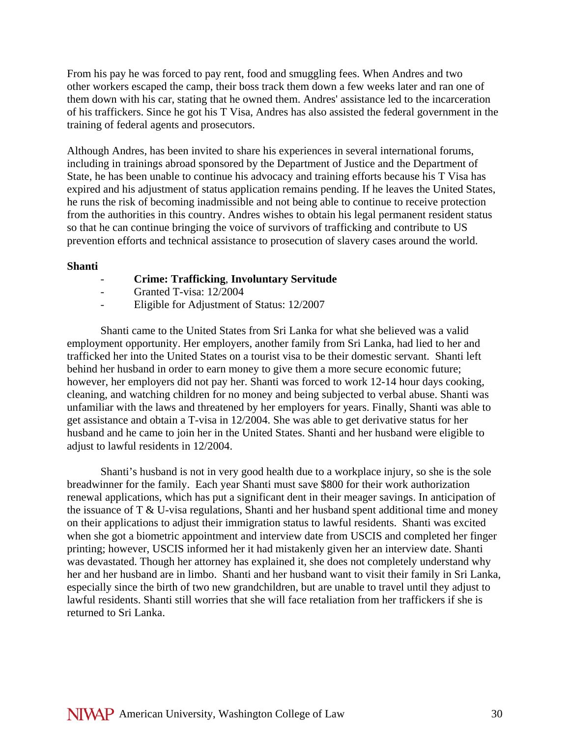From his pay he was forced to pay rent, food and smuggling fees. When Andres and two other workers escaped the camp, their boss track them down a few weeks later and ran one of them down with his car, stating that he owned them. Andres' assistance led to the incarceration of his traffickers. Since he got his T Visa, Andres has also assisted the federal government in the training of federal agents and prosecutors.

Although Andres, has been invited to share his experiences in several international forums, including in trainings abroad sponsored by the Department of Justice and the Department of State, he has been unable to continue his advocacy and training efforts because his T Visa has expired and his adjustment of status application remains pending. If he leaves the United States, he runs the risk of becoming inadmissible and not being able to continue to receive protection from the authorities in this country. Andres wishes to obtain his legal permanent resident status so that he can continue bringing the voice of survivors of trafficking and contribute to US prevention efforts and technical assistance to prosecution of slavery cases around the world.

#### **Shanti**

- **Crime: Trafficking**, **Involuntary Servitude**
- Granted T-visa: 12/2004
- Eligible for Adjustment of Status: 12/2007

Shanti came to the United States from Sri Lanka for what she believed was a valid employment opportunity. Her employers, another family from Sri Lanka, had lied to her and trafficked her into the United States on a tourist visa to be their domestic servant. Shanti left behind her husband in order to earn money to give them a more secure economic future; however, her employers did not pay her. Shanti was forced to work 12-14 hour days cooking, cleaning, and watching children for no money and being subjected to verbal abuse. Shanti was unfamiliar with the laws and threatened by her employers for years. Finally, Shanti was able to get assistance and obtain a T-visa in 12/2004. She was able to get derivative status for her husband and he came to join her in the United States. Shanti and her husband were eligible to adjust to lawful residents in 12/2004.

Shanti's husband is not in very good health due to a workplace injury, so she is the sole breadwinner for the family. Each year Shanti must save \$800 for their work authorization renewal applications, which has put a significant dent in their meager savings. In anticipation of the issuance of  $T \& U$ -visa regulations, Shanti and her husband spent additional time and money on their applications to adjust their immigration status to lawful residents. Shanti was excited when she got a biometric appointment and interview date from USCIS and completed her finger printing; however, USCIS informed her it had mistakenly given her an interview date. Shanti was devastated. Though her attorney has explained it, she does not completely understand why her and her husband are in limbo. Shanti and her husband want to visit their family in Sri Lanka, especially since the birth of two new grandchildren, but are unable to travel until they adjust to lawful residents. Shanti still worries that she will face retaliation from her traffickers if she is returned to Sri Lanka.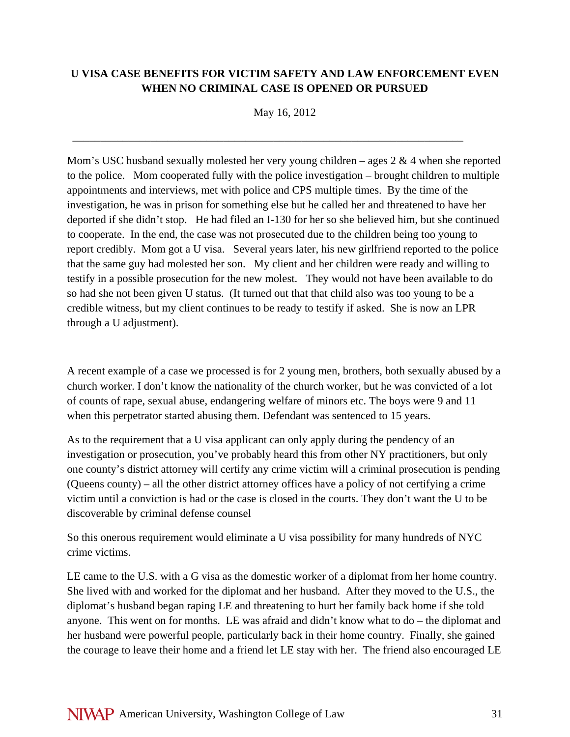# **U VISA CASE BENEFITS FOR VICTIM SAFETY AND LAW ENFORCEMENT EVEN WHEN NO CRIMINAL CASE IS OPENED OR PURSUED**

May 16, 2012

\_\_\_\_\_\_\_\_\_\_\_\_\_\_\_\_\_\_\_\_\_\_\_\_\_\_\_\_\_\_\_\_\_\_\_\_\_\_\_\_\_\_\_\_\_\_\_\_\_\_\_\_\_\_\_\_\_\_\_\_\_\_\_\_\_\_\_\_\_\_

Mom's USC husband sexually molested her very young children – ages  $2 \& 4$  when she reported to the police. Mom cooperated fully with the police investigation – brought children to multiple appointments and interviews, met with police and CPS multiple times. By the time of the investigation, he was in prison for something else but he called her and threatened to have her deported if she didn't stop. He had filed an I-130 for her so she believed him, but she continued to cooperate. In the end, the case was not prosecuted due to the children being too young to report credibly. Mom got a U visa. Several years later, his new girlfriend reported to the police that the same guy had molested her son. My client and her children were ready and willing to testify in a possible prosecution for the new molest. They would not have been available to do so had she not been given U status. (It turned out that that child also was too young to be a credible witness, but my client continues to be ready to testify if asked. She is now an LPR through a U adjustment).

A recent example of a case we processed is for 2 young men, brothers, both sexually abused by a church worker. I don't know the nationality of the church worker, but he was convicted of a lot of counts of rape, sexual abuse, endangering welfare of minors etc. The boys were 9 and 11 when this perpetrator started abusing them. Defendant was sentenced to 15 years.

As to the requirement that a U visa applicant can only apply during the pendency of an investigation or prosecution, you've probably heard this from other NY practitioners, but only one county's district attorney will certify any crime victim will a criminal prosecution is pending (Queens county) – all the other district attorney offices have a policy of not certifying a crime victim until a conviction is had or the case is closed in the courts. They don't want the U to be discoverable by criminal defense counsel

So this onerous requirement would eliminate a U visa possibility for many hundreds of NYC crime victims.

LE came to the U.S. with a G visa as the domestic worker of a diplomat from her home country. She lived with and worked for the diplomat and her husband. After they moved to the U.S., the diplomat's husband began raping LE and threatening to hurt her family back home if she told anyone. This went on for months. LE was afraid and didn't know what to do – the diplomat and her husband were powerful people, particularly back in their home country. Finally, she gained the courage to leave their home and a friend let LE stay with her. The friend also encouraged LE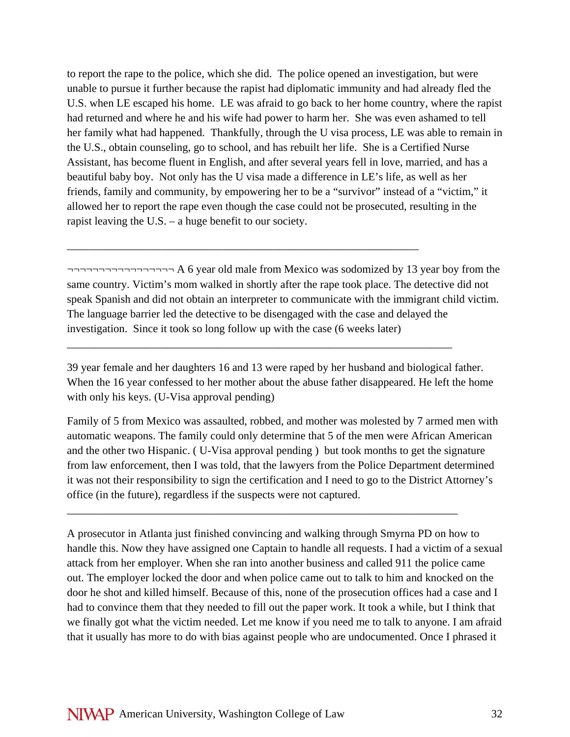to report the rape to the police, which she did. The police opened an investigation, but were unable to pursue it further because the rapist had diplomatic immunity and had already fled the U.S. when LE escaped his home. LE was afraid to go back to her home country, where the rapist had returned and where he and his wife had power to harm her. She was even ashamed to tell her family what had happened. Thankfully, through the U visa process, LE was able to remain in the U.S., obtain counseling, go to school, and has rebuilt her life. She is a Certified Nurse Assistant, has become fluent in English, and after several years fell in love, married, and has a beautiful baby boy. Not only has the U visa made a difference in LE's life, as well as her friends, family and community, by empowering her to be a "survivor" instead of a "victim," it allowed her to report the rape even though the case could not be prosecuted, resulting in the rapist leaving the U.S. – a huge benefit to our society.

¬¬¬¬¬¬¬¬¬¬¬¬¬¬¬¬¬ A 6 year old male from Mexico was sodomized by 13 year boy from the same country. Victim's mom walked in shortly after the rape took place. The detective did not speak Spanish and did not obtain an interpreter to communicate with the immigrant child victim. The language barrier led the detective to be disengaged with the case and delayed the investigation. Since it took so long follow up with the case (6 weeks later)

\_\_\_\_\_\_\_\_\_\_\_\_\_\_\_\_\_\_\_\_\_\_\_\_\_\_\_\_\_\_\_\_\_\_\_\_\_\_\_\_\_\_\_\_\_\_\_\_\_\_\_\_\_\_\_\_\_\_\_\_\_\_\_

39 year female and her daughters 16 and 13 were raped by her husband and biological father. When the 16 year confessed to her mother about the abuse father disappeared. He left the home with only his keys. (U-Visa approval pending)

\_\_\_\_\_\_\_\_\_\_\_\_\_\_\_\_\_\_\_\_\_\_\_\_\_\_\_\_\_\_\_\_\_\_\_\_\_\_\_\_\_\_\_\_\_\_\_\_\_\_\_\_\_\_\_\_\_\_\_\_\_\_\_\_\_\_\_\_\_

Family of 5 from Mexico was assaulted, robbed, and mother was molested by 7 armed men with automatic weapons. The family could only determine that 5 of the men were African American and the other two Hispanic. ( U-Visa approval pending ) but took months to get the signature from law enforcement, then I was told, that the lawyers from the Police Department determined it was not their responsibility to sign the certification and I need to go to the District Attorney's office (in the future), regardless if the suspects were not captured.

\_\_\_\_\_\_\_\_\_\_\_\_\_\_\_\_\_\_\_\_\_\_\_\_\_\_\_\_\_\_\_\_\_\_\_\_\_\_\_\_\_\_\_\_\_\_\_\_\_\_\_\_\_\_\_\_\_\_\_\_\_\_\_\_\_\_\_\_\_\_

A prosecutor in Atlanta just finished convincing and walking through Smyrna PD on how to handle this. Now they have assigned one Captain to handle all requests. I had a victim of a sexual attack from her employer. When she ran into another business and called 911 the police came out. The employer locked the door and when police came out to talk to him and knocked on the door he shot and killed himself. Because of this, none of the prosecution offices had a case and I had to convince them that they needed to fill out the paper work. It took a while, but I think that we finally got what the victim needed. Let me know if you need me to talk to anyone. I am afraid that it usually has more to do with bias against people who are undocumented. Once I phrased it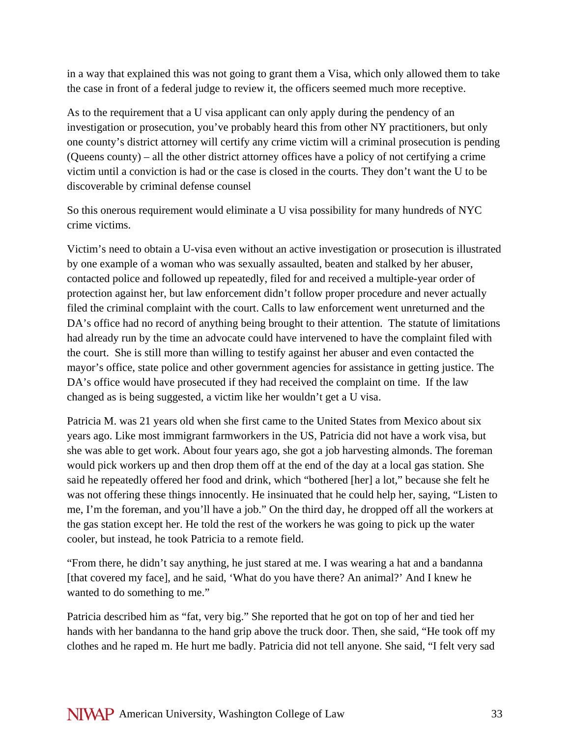in a way that explained this was not going to grant them a Visa, which only allowed them to take the case in front of a federal judge to review it, the officers seemed much more receptive.

As to the requirement that a U visa applicant can only apply during the pendency of an investigation or prosecution, you've probably heard this from other NY practitioners, but only one county's district attorney will certify any crime victim will a criminal prosecution is pending (Queens county) – all the other district attorney offices have a policy of not certifying a crime victim until a conviction is had or the case is closed in the courts. They don't want the U to be discoverable by criminal defense counsel

So this onerous requirement would eliminate a U visa possibility for many hundreds of NYC crime victims.

Victim's need to obtain a U-visa even without an active investigation or prosecution is illustrated by one example of a woman who was sexually assaulted, beaten and stalked by her abuser, contacted police and followed up repeatedly, filed for and received a multiple-year order of protection against her, but law enforcement didn't follow proper procedure and never actually filed the criminal complaint with the court. Calls to law enforcement went unreturned and the DA's office had no record of anything being brought to their attention. The statute of limitations had already run by the time an advocate could have intervened to have the complaint filed with the court. She is still more than willing to testify against her abuser and even contacted the mayor's office, state police and other government agencies for assistance in getting justice. The DA's office would have prosecuted if they had received the complaint on time. If the law changed as is being suggested, a victim like her wouldn't get a U visa.

Patricia M. was 21 years old when she first came to the United States from Mexico about six years ago. Like most immigrant farmworkers in the US, Patricia did not have a work visa, but she was able to get work. About four years ago, she got a job harvesting almonds. The foreman would pick workers up and then drop them off at the end of the day at a local gas station. She said he repeatedly offered her food and drink, which "bothered [her] a lot," because she felt he was not offering these things innocently. He insinuated that he could help her, saying, "Listen to me, I'm the foreman, and you'll have a job." On the third day, he dropped off all the workers at the gas station except her. He told the rest of the workers he was going to pick up the water cooler, but instead, he took Patricia to a remote field.

"From there, he didn't say anything, he just stared at me. I was wearing a hat and a bandanna [that covered my face], and he said, 'What do you have there? An animal?' And I knew he wanted to do something to me."

Patricia described him as "fat, very big." She reported that he got on top of her and tied her hands with her bandanna to the hand grip above the truck door. Then, she said, "He took off my clothes and he raped m. He hurt me badly. Patricia did not tell anyone. She said, "I felt very sad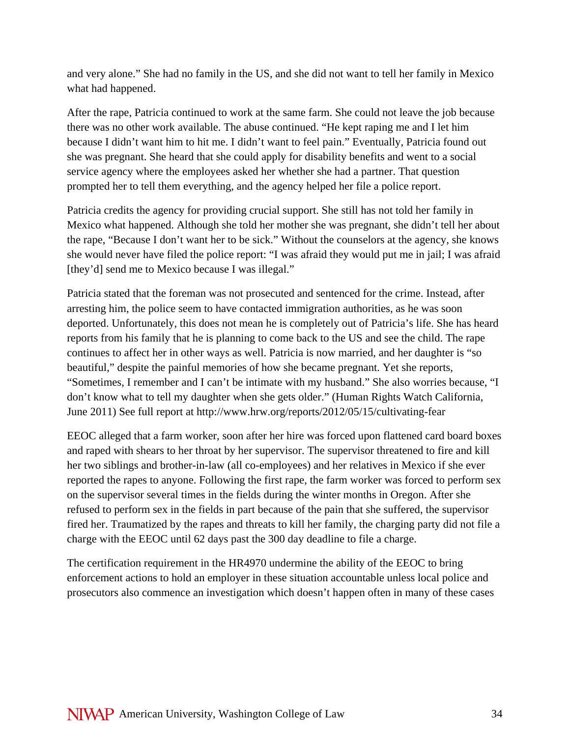and very alone." She had no family in the US, and she did not want to tell her family in Mexico what had happened.

After the rape, Patricia continued to work at the same farm. She could not leave the job because there was no other work available. The abuse continued. "He kept raping me and I let him because I didn't want him to hit me. I didn't want to feel pain." Eventually, Patricia found out she was pregnant. She heard that she could apply for disability benefits and went to a social service agency where the employees asked her whether she had a partner. That question prompted her to tell them everything, and the agency helped her file a police report.

Patricia credits the agency for providing crucial support. She still has not told her family in Mexico what happened. Although she told her mother she was pregnant, she didn't tell her about the rape, "Because I don't want her to be sick." Without the counselors at the agency, she knows she would never have filed the police report: "I was afraid they would put me in jail; I was afraid [they'd] send me to Mexico because I was illegal."

Patricia stated that the foreman was not prosecuted and sentenced for the crime. Instead, after arresting him, the police seem to have contacted immigration authorities, as he was soon deported. Unfortunately, this does not mean he is completely out of Patricia's life. She has heard reports from his family that he is planning to come back to the US and see the child. The rape continues to affect her in other ways as well. Patricia is now married, and her daughter is "so beautiful," despite the painful memories of how she became pregnant. Yet she reports, "Sometimes, I remember and I can't be intimate with my husband." She also worries because, "I don't know what to tell my daughter when she gets older." (Human Rights Watch California, June 2011) See full report at http://www.hrw.org/reports/2012/05/15/cultivating-fear

EEOC alleged that a farm worker, soon after her hire was forced upon flattened card board boxes and raped with shears to her throat by her supervisor. The supervisor threatened to fire and kill her two siblings and brother-in-law (all co-employees) and her relatives in Mexico if she ever reported the rapes to anyone. Following the first rape, the farm worker was forced to perform sex on the supervisor several times in the fields during the winter months in Oregon. After she refused to perform sex in the fields in part because of the pain that she suffered, the supervisor fired her. Traumatized by the rapes and threats to kill her family, the charging party did not file a charge with the EEOC until 62 days past the 300 day deadline to file a charge.

The certification requirement in the HR4970 undermine the ability of the EEOC to bring enforcement actions to hold an employer in these situation accountable unless local police and prosecutors also commence an investigation which doesn't happen often in many of these cases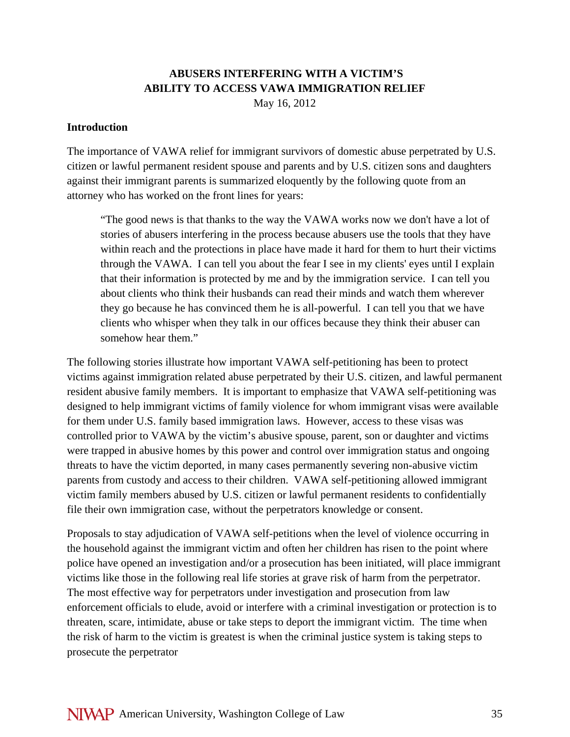# **ABUSERS INTERFERING WITH A VICTIM'S ABILITY TO ACCESS VAWA IMMIGRATION RELIEF**

May 16, 2012

#### **Introduction**

The importance of VAWA relief for immigrant survivors of domestic abuse perpetrated by U.S. citizen or lawful permanent resident spouse and parents and by U.S. citizen sons and daughters against their immigrant parents is summarized eloquently by the following quote from an attorney who has worked on the front lines for years:

"The good news is that thanks to the way the VAWA works now we don't have a lot of stories of abusers interfering in the process because abusers use the tools that they have within reach and the protections in place have made it hard for them to hurt their victims through the VAWA. I can tell you about the fear I see in my clients' eyes until I explain that their information is protected by me and by the immigration service. I can tell you about clients who think their husbands can read their minds and watch them wherever they go because he has convinced them he is all-powerful. I can tell you that we have clients who whisper when they talk in our offices because they think their abuser can somehow hear them."

The following stories illustrate how important VAWA self-petitioning has been to protect victims against immigration related abuse perpetrated by their U.S. citizen, and lawful permanent resident abusive family members. It is important to emphasize that VAWA self-petitioning was designed to help immigrant victims of family violence for whom immigrant visas were available for them under U.S. family based immigration laws. However, access to these visas was controlled prior to VAWA by the victim's abusive spouse, parent, son or daughter and victims were trapped in abusive homes by this power and control over immigration status and ongoing threats to have the victim deported, in many cases permanently severing non-abusive victim parents from custody and access to their children. VAWA self-petitioning allowed immigrant victim family members abused by U.S. citizen or lawful permanent residents to confidentially file their own immigration case, without the perpetrators knowledge or consent.

Proposals to stay adjudication of VAWA self-petitions when the level of violence occurring in the household against the immigrant victim and often her children has risen to the point where police have opened an investigation and/or a prosecution has been initiated, will place immigrant victims like those in the following real life stories at grave risk of harm from the perpetrator. The most effective way for perpetrators under investigation and prosecution from law enforcement officials to elude, avoid or interfere with a criminal investigation or protection is to threaten, scare, intimidate, abuse or take steps to deport the immigrant victim. The time when the risk of harm to the victim is greatest is when the criminal justice system is taking steps to prosecute the perpetrator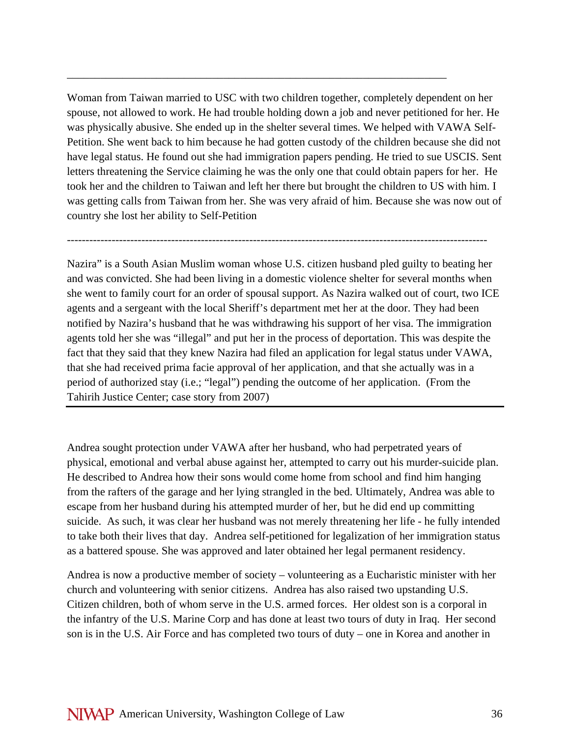Woman from Taiwan married to USC with two children together, completely dependent on her spouse, not allowed to work. He had trouble holding down a job and never petitioned for her. He was physically abusive. She ended up in the shelter several times. We helped with VAWA Self-Petition. She went back to him because he had gotten custody of the children because she did not have legal status. He found out she had immigration papers pending. He tried to sue USCIS. Sent letters threatening the Service claiming he was the only one that could obtain papers for her. He took her and the children to Taiwan and left her there but brought the children to US with him. I was getting calls from Taiwan from her. She was very afraid of him. Because she was now out of country she lost her ability to Self-Petition

-----------------------------------------------------------------------------------------------------------------

\_\_\_\_\_\_\_\_\_\_\_\_\_\_\_\_\_\_\_\_\_\_\_\_\_\_\_\_\_\_\_\_\_\_\_\_\_\_\_\_\_\_\_\_\_\_\_\_\_\_\_\_\_\_\_\_\_\_\_\_\_\_\_\_\_\_\_\_

Nazira" is a South Asian Muslim woman whose U.S. citizen husband pled guilty to beating her and was convicted. She had been living in a domestic violence shelter for several months when she went to family court for an order of spousal support. As Nazira walked out of court, two ICE agents and a sergeant with the local Sheriff's department met her at the door. They had been notified by Nazira's husband that he was withdrawing his support of her visa. The immigration agents told her she was "illegal" and put her in the process of deportation. This was despite the fact that they said that they knew Nazira had filed an application for legal status under VAWA, that she had received prima facie approval of her application, and that she actually was in a period of authorized stay (i.e.; "legal") pending the outcome of her application. (From the Tahirih Justice Center; case story from 2007)

Andrea sought protection under VAWA after her husband, who had perpetrated years of physical, emotional and verbal abuse against her, attempted to carry out his murder-suicide plan. He described to Andrea how their sons would come home from school and find him hanging from the rafters of the garage and her lying strangled in the bed. Ultimately, Andrea was able to escape from her husband during his attempted murder of her, but he did end up committing suicide. As such, it was clear her husband was not merely threatening her life - he fully intended to take both their lives that day. Andrea self-petitioned for legalization of her immigration status as a battered spouse. She was approved and later obtained her legal permanent residency.

Andrea is now a productive member of society – volunteering as a Eucharistic minister with her church and volunteering with senior citizens. Andrea has also raised two upstanding U.S. Citizen children, both of whom serve in the U.S. armed forces. Her oldest son is a corporal in the infantry of the U.S. Marine Corp and has done at least two tours of duty in Iraq. Her second son is in the U.S. Air Force and has completed two tours of duty – one in Korea and another in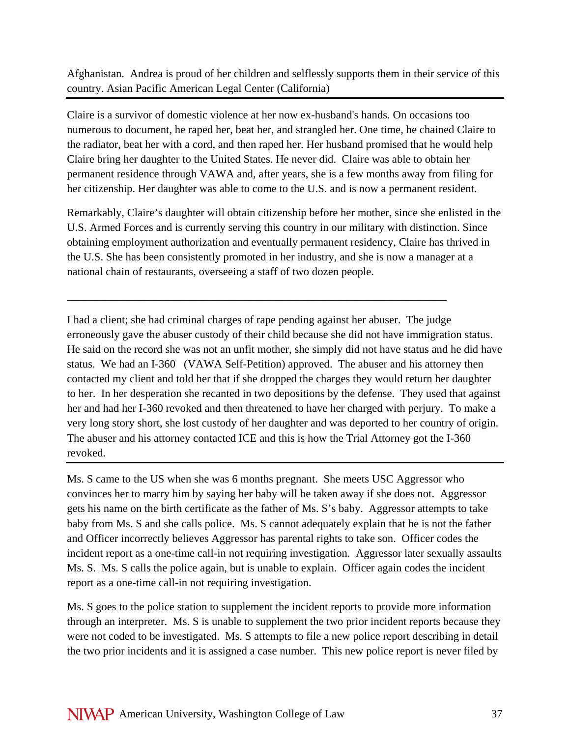Afghanistan. Andrea is proud of her children and selflessly supports them in their service of this country. Asian Pacific American Legal Center (California)

Claire is a survivor of domestic violence at her now ex-husband's hands. On occasions too numerous to document, he raped her, beat her, and strangled her. One time, he chained Claire to the radiator, beat her with a cord, and then raped her. Her husband promised that he would help Claire bring her daughter to the United States. He never did. Claire was able to obtain her permanent residence through VAWA and, after years, she is a few months away from filing for her citizenship. Her daughter was able to come to the U.S. and is now a permanent resident.

Remarkably, Claire's daughter will obtain citizenship before her mother, since she enlisted in the U.S. Armed Forces and is currently serving this country in our military with distinction. Since obtaining employment authorization and eventually permanent residency, Claire has thrived in the U.S. She has been consistently promoted in her industry, and she is now a manager at a national chain of restaurants, overseeing a staff of two dozen people.

\_\_\_\_\_\_\_\_\_\_\_\_\_\_\_\_\_\_\_\_\_\_\_\_\_\_\_\_\_\_\_\_\_\_\_\_\_\_\_\_\_\_\_\_\_\_\_\_\_\_\_\_\_\_\_\_\_\_\_\_\_\_\_\_\_\_\_\_

I had a client; she had criminal charges of rape pending against her abuser. The judge erroneously gave the abuser custody of their child because she did not have immigration status. He said on the record she was not an unfit mother, she simply did not have status and he did have status. We had an I-360 (VAWA Self-Petition) approved. The abuser and his attorney then contacted my client and told her that if she dropped the charges they would return her daughter to her. In her desperation she recanted in two depositions by the defense. They used that against her and had her I-360 revoked and then threatened to have her charged with perjury. To make a very long story short, she lost custody of her daughter and was deported to her country of origin. The abuser and his attorney contacted ICE and this is how the Trial Attorney got the I-360 revoked.

Ms. S came to the US when she was 6 months pregnant. She meets USC Aggressor who convinces her to marry him by saying her baby will be taken away if she does not. Aggressor gets his name on the birth certificate as the father of Ms. S's baby. Aggressor attempts to take baby from Ms. S and she calls police. Ms. S cannot adequately explain that he is not the father and Officer incorrectly believes Aggressor has parental rights to take son. Officer codes the incident report as a one-time call-in not requiring investigation. Aggressor later sexually assaults Ms. S. Ms. S calls the police again, but is unable to explain. Officer again codes the incident report as a one-time call-in not requiring investigation.

Ms. S goes to the police station to supplement the incident reports to provide more information through an interpreter. Ms. S is unable to supplement the two prior incident reports because they were not coded to be investigated. Ms. S attempts to file a new police report describing in detail the two prior incidents and it is assigned a case number. This new police report is never filed by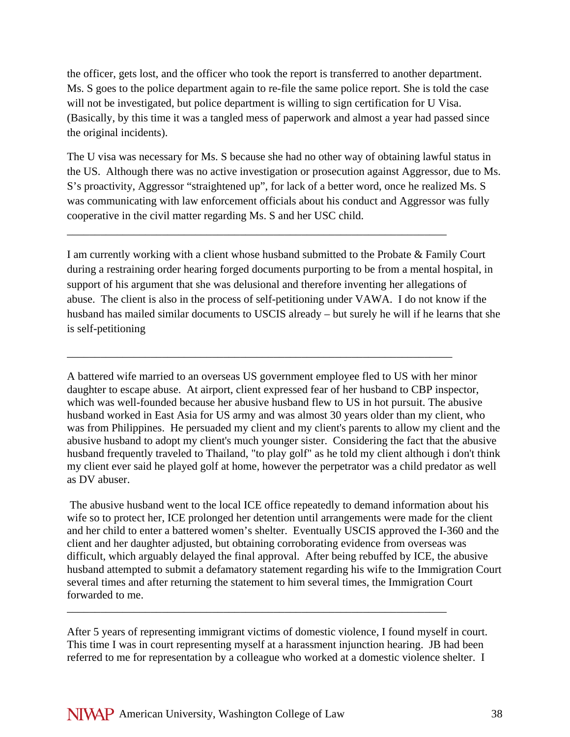the officer, gets lost, and the officer who took the report is transferred to another department. Ms. S goes to the police department again to re-file the same police report. She is told the case will not be investigated, but police department is willing to sign certification for U Visa. (Basically, by this time it was a tangled mess of paperwork and almost a year had passed since the original incidents).

The U visa was necessary for Ms. S because she had no other way of obtaining lawful status in the US. Although there was no active investigation or prosecution against Aggressor, due to Ms. S's proactivity, Aggressor "straightened up", for lack of a better word, once he realized Ms. S was communicating with law enforcement officials about his conduct and Aggressor was fully cooperative in the civil matter regarding Ms. S and her USC child.

\_\_\_\_\_\_\_\_\_\_\_\_\_\_\_\_\_\_\_\_\_\_\_\_\_\_\_\_\_\_\_\_\_\_\_\_\_\_\_\_\_\_\_\_\_\_\_\_\_\_\_\_\_\_\_\_\_\_\_\_\_\_\_\_\_\_\_\_

\_\_\_\_\_\_\_\_\_\_\_\_\_\_\_\_\_\_\_\_\_\_\_\_\_\_\_\_\_\_\_\_\_\_\_\_\_\_\_\_\_\_\_\_\_\_\_\_\_\_\_\_\_\_\_\_\_\_\_\_\_\_\_\_\_\_\_\_\_

I am currently working with a client whose husband submitted to the Probate & Family Court during a restraining order hearing forged documents purporting to be from a mental hospital, in support of his argument that she was delusional and therefore inventing her allegations of abuse. The client is also in the process of self-petitioning under VAWA. I do not know if the husband has mailed similar documents to USCIS already – but surely he will if he learns that she is self-petitioning

A battered wife married to an overseas US government employee fled to US with her minor daughter to escape abuse. At airport, client expressed fear of her husband to CBP inspector, which was well-founded because her abusive husband flew to US in hot pursuit. The abusive husband worked in East Asia for US army and was almost 30 years older than my client, who was from Philippines. He persuaded my client and my client's parents to allow my client and the abusive husband to adopt my client's much younger sister. Considering the fact that the abusive husband frequently traveled to Thailand, "to play golf" as he told my client although i don't think my client ever said he played golf at home, however the perpetrator was a child predator as well as DV abuser.

 The abusive husband went to the local ICE office repeatedly to demand information about his wife so to protect her, ICE prolonged her detention until arrangements were made for the client and her child to enter a battered women's shelter. Eventually USCIS approved the I-360 and the client and her daughter adjusted, but obtaining corroborating evidence from overseas was difficult, which arguably delayed the final approval. After being rebuffed by ICE, the abusive husband attempted to submit a defamatory statement regarding his wife to the Immigration Court several times and after returning the statement to him several times, the Immigration Court forwarded to me.

After 5 years of representing immigrant victims of domestic violence, I found myself in court. This time I was in court representing myself at a harassment injunction hearing. JB had been referred to me for representation by a colleague who worked at a domestic violence shelter. I

\_\_\_\_\_\_\_\_\_\_\_\_\_\_\_\_\_\_\_\_\_\_\_\_\_\_\_\_\_\_\_\_\_\_\_\_\_\_\_\_\_\_\_\_\_\_\_\_\_\_\_\_\_\_\_\_\_\_\_\_\_\_\_\_\_\_\_\_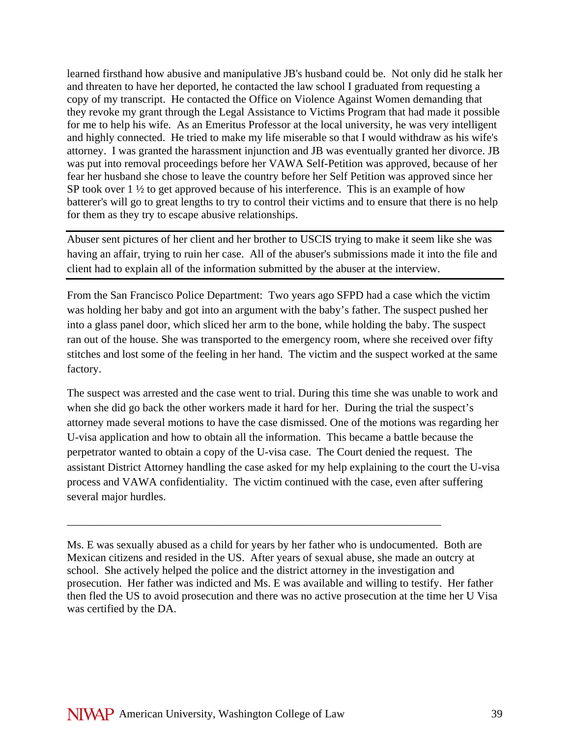learned firsthand how abusive and manipulative JB's husband could be. Not only did he stalk her and threaten to have her deported, he contacted the law school I graduated from requesting a copy of my transcript. He contacted the Office on Violence Against Women demanding that they revoke my grant through the Legal Assistance to Victims Program that had made it possible for me to help his wife. As an Emeritus Professor at the local university, he was very intelligent and highly connected. He tried to make my life miserable so that I would withdraw as his wife's attorney. I was granted the harassment injunction and JB was eventually granted her divorce. JB was put into removal proceedings before her VAWA Self-Petition was approved, because of her fear her husband she chose to leave the country before her Self Petition was approved since her SP took over  $1 \frac{1}{2}$  to get approved because of his interference. This is an example of how batterer's will go to great lengths to try to control their victims and to ensure that there is no help for them as they try to escape abusive relationships.

Abuser sent pictures of her client and her brother to USCIS trying to make it seem like she was having an affair, trying to ruin her case. All of the abuser's submissions made it into the file and client had to explain all of the information submitted by the abuser at the interview.

From the San Francisco Police Department: Two years ago SFPD had a case which the victim was holding her baby and got into an argument with the baby's father. The suspect pushed her into a glass panel door, which sliced her arm to the bone, while holding the baby. The suspect ran out of the house. She was transported to the emergency room, where she received over fifty stitches and lost some of the feeling in her hand. The victim and the suspect worked at the same factory.

The suspect was arrested and the case went to trial. During this time she was unable to work and when she did go back the other workers made it hard for her. During the trial the suspect's attorney made several motions to have the case dismissed. One of the motions was regarding her U-visa application and how to obtain all the information. This became a battle because the perpetrator wanted to obtain a copy of the U-visa case. The Court denied the request. The assistant District Attorney handling the case asked for my help explaining to the court the U-visa process and VAWA confidentiality. The victim continued with the case, even after suffering several major hurdles.

Ms. E was sexually abused as a child for years by her father who is undocumented. Both are Mexican citizens and resided in the US. After years of sexual abuse, she made an outcry at school. She actively helped the police and the district attorney in the investigation and prosecution. Her father was indicted and Ms. E was available and willing to testify. Her father then fled the US to avoid prosecution and there was no active prosecution at the time her U Visa was certified by the DA.

\_\_\_\_\_\_\_\_\_\_\_\_\_\_\_\_\_\_\_\_\_\_\_\_\_\_\_\_\_\_\_\_\_\_\_\_\_\_\_\_\_\_\_\_\_\_\_\_\_\_\_\_\_\_\_\_\_\_\_\_\_\_\_\_\_\_\_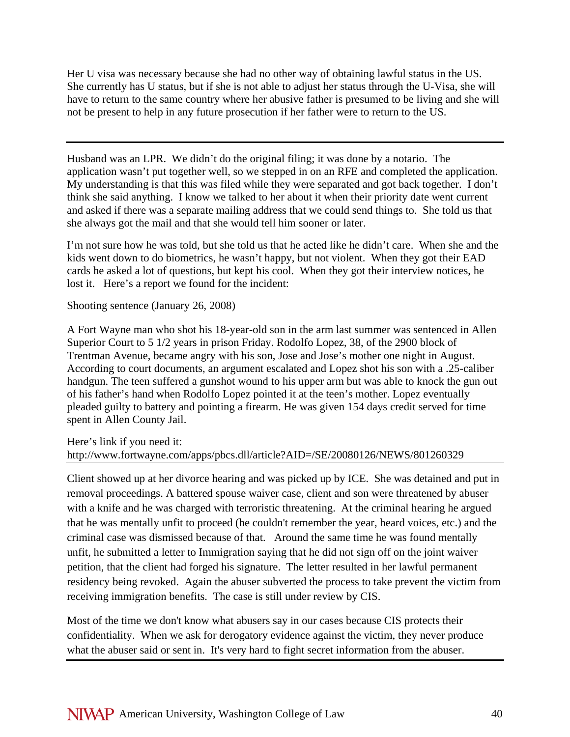Her U visa was necessary because she had no other way of obtaining lawful status in the US. She currently has U status, but if she is not able to adjust her status through the U-Visa, she will have to return to the same country where her abusive father is presumed to be living and she will not be present to help in any future prosecution if her father were to return to the US.

Husband was an LPR. We didn't do the original filing; it was done by a notario. The application wasn't put together well, so we stepped in on an RFE and completed the application. My understanding is that this was filed while they were separated and got back together. I don't think she said anything. I know we talked to her about it when their priority date went current and asked if there was a separate mailing address that we could send things to. She told us that she always got the mail and that she would tell him sooner or later.

I'm not sure how he was told, but she told us that he acted like he didn't care. When she and the kids went down to do biometrics, he wasn't happy, but not violent. When they got their EAD cards he asked a lot of questions, but kept his cool. When they got their interview notices, he lost it. Here's a report we found for the incident:

Shooting sentence (January 26, 2008)

A Fort Wayne man who shot his 18-year-old son in the arm last summer was sentenced in Allen Superior Court to 5 1/2 years in prison Friday. Rodolfo Lopez, 38, of the 2900 block of Trentman Avenue, became angry with his son, Jose and Jose's mother one night in August. According to court documents, an argument escalated and Lopez shot his son with a .25-caliber handgun. The teen suffered a gunshot wound to his upper arm but was able to knock the gun out of his father's hand when Rodolfo Lopez pointed it at the teen's mother. Lopez eventually pleaded guilty to battery and pointing a firearm. He was given 154 days credit served for time spent in Allen County Jail.

Here's link if you need it: http://www.fortwayne.com/apps/pbcs.dll/article?AID=/SE/20080126/NEWS/801260329

Client showed up at her divorce hearing and was picked up by ICE. She was detained and put in removal proceedings. A battered spouse waiver case, client and son were threatened by abuser with a knife and he was charged with terroristic threatening. At the criminal hearing he argued that he was mentally unfit to proceed (he couldn't remember the year, heard voices, etc.) and the criminal case was dismissed because of that. Around the same time he was found mentally unfit, he submitted a letter to Immigration saying that he did not sign off on the joint waiver petition, that the client had forged his signature. The letter resulted in her lawful permanent residency being revoked. Again the abuser subverted the process to take prevent the victim from receiving immigration benefits. The case is still under review by CIS.

Most of the time we don't know what abusers say in our cases because CIS protects their confidentiality. When we ask for derogatory evidence against the victim, they never produce what the abuser said or sent in. It's very hard to fight secret information from the abuser.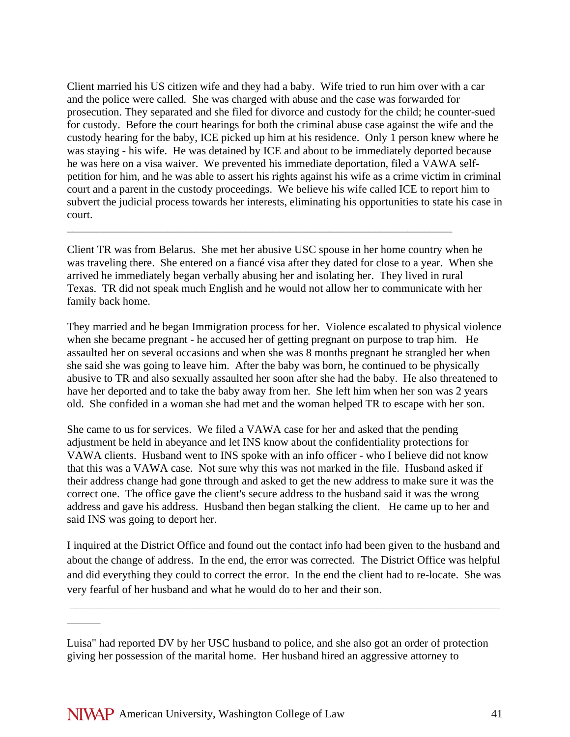Client married his US citizen wife and they had a baby. Wife tried to run him over with a car and the police were called. She was charged with abuse and the case was forwarded for prosecution. They separated and she filed for divorce and custody for the child; he counter-sued for custody. Before the court hearings for both the criminal abuse case against the wife and the custody hearing for the baby, ICE picked up him at his residence. Only 1 person knew where he was staying - his wife. He was detained by ICE and about to be immediately deported because he was here on a visa waiver. We prevented his immediate deportation, filed a VAWA selfpetition for him, and he was able to assert his rights against his wife as a crime victim in criminal court and a parent in the custody proceedings. We believe his wife called ICE to report him to subvert the judicial process towards her interests, eliminating his opportunities to state his case in court.

Client TR was from Belarus. She met her abusive USC spouse in her home country when he was traveling there. She entered on a fiancé visa after they dated for close to a year. When she arrived he immediately began verbally abusing her and isolating her. They lived in rural Texas. TR did not speak much English and he would not allow her to communicate with her family back home.

\_\_\_\_\_\_\_\_\_\_\_\_\_\_\_\_\_\_\_\_\_\_\_\_\_\_\_\_\_\_\_\_\_\_\_\_\_\_\_\_\_\_\_\_\_\_\_\_\_\_\_\_\_\_\_\_\_\_\_\_\_\_\_\_\_\_\_\_\_

They married and he began Immigration process for her. Violence escalated to physical violence when she became pregnant - he accused her of getting pregnant on purpose to trap him. He assaulted her on several occasions and when she was 8 months pregnant he strangled her when she said she was going to leave him. After the baby was born, he continued to be physically abusive to TR and also sexually assaulted her soon after she had the baby. He also threatened to have her deported and to take the baby away from her. She left him when her son was 2 years old. She confided in a woman she had met and the woman helped TR to escape with her son.

She came to us for services. We filed a VAWA case for her and asked that the pending adjustment be held in abeyance and let INS know about the confidentiality protections for VAWA clients. Husband went to INS spoke with an info officer - who I believe did not know that this was a VAWA case. Not sure why this was not marked in the file. Husband asked if their address change had gone through and asked to get the new address to make sure it was the correct one. The office gave the client's secure address to the husband said it was the wrong address and gave his address. Husband then began stalking the client. He came up to her and said INS was going to deport her.

I inquired at the District Office and found out the contact info had been given to the husband and about the change of address. In the end, the error was corrected. The District Office was helpful and did everything they could to correct the error. In the end the client had to re-locate. She was very fearful of her husband and what he would do to her and their son.

\_\_\_\_\_\_\_\_\_\_\_\_\_\_\_\_\_\_\_\_\_\_\_\_\_\_\_\_\_\_\_\_\_\_\_\_\_\_\_\_\_\_\_\_\_\_\_\_\_\_\_\_\_\_\_\_\_\_\_\_\_\_\_\_\_\_\_\_\_\_\_\_\_\_\_\_\_

 $\overline{\phantom{a}}$ 

Luisa" had reported DV by her USC husband to police, and she also got an order of protection giving her possession of the marital home. Her husband hired an aggressive attorney to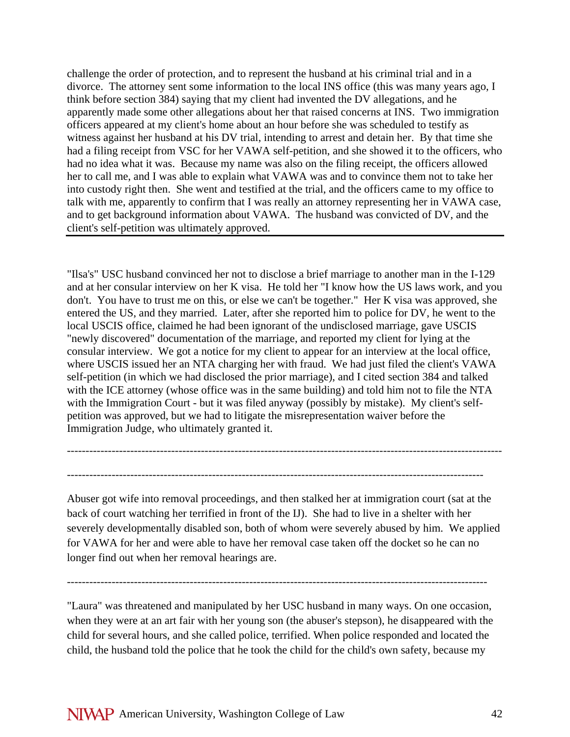challenge the order of protection, and to represent the husband at his criminal trial and in a divorce. The attorney sent some information to the local INS office (this was many years ago, I think before section 384) saying that my client had invented the DV allegations, and he apparently made some other allegations about her that raised concerns at INS. Two immigration officers appeared at my client's home about an hour before she was scheduled to testify as witness against her husband at his DV trial, intending to arrest and detain her. By that time she had a filing receipt from VSC for her VAWA self-petition, and she showed it to the officers, who had no idea what it was. Because my name was also on the filing receipt, the officers allowed her to call me, and I was able to explain what VAWA was and to convince them not to take her into custody right then. She went and testified at the trial, and the officers came to my office to talk with me, apparently to confirm that I was really an attorney representing her in VAWA case, and to get background information about VAWA. The husband was convicted of DV, and the client's self-petition was ultimately approved.

"Ilsa's" USC husband convinced her not to disclose a brief marriage to another man in the I-129 and at her consular interview on her K visa. He told her "I know how the US laws work, and you don't. You have to trust me on this, or else we can't be together." Her K visa was approved, she entered the US, and they married. Later, after she reported him to police for DV, he went to the local USCIS office, claimed he had been ignorant of the undisclosed marriage, gave USCIS "newly discovered" documentation of the marriage, and reported my client for lying at the consular interview. We got a notice for my client to appear for an interview at the local office, where USCIS issued her an NTA charging her with fraud. We had just filed the client's VAWA self-petition (in which we had disclosed the prior marriage), and I cited section 384 and talked with the ICE attorney (whose office was in the same building) and told him not to file the NTA with the Immigration Court - but it was filed anyway (possibly by mistake). My client's selfpetition was approved, but we had to litigate the misrepresentation waiver before the Immigration Judge, who ultimately granted it.

Abuser got wife into removal proceedings, and then stalked her at immigration court (sat at the back of court watching her terrified in front of the IJ). She had to live in a shelter with her severely developmentally disabled son, both of whom were severely abused by him. We applied for VAWA for her and were able to have her removal case taken off the docket so he can no longer find out when her removal hearings are.

---------------------------------------------------------------------------------------------------------------------

----------------------------------------------------------------------------------------------------------------

"Laura" was threatened and manipulated by her USC husband in many ways. On one occasion, when they were at an art fair with her young son (the abuser's stepson), he disappeared with the child for several hours, and she called police, terrified. When police responded and located the child, the husband told the police that he took the child for the child's own safety, because my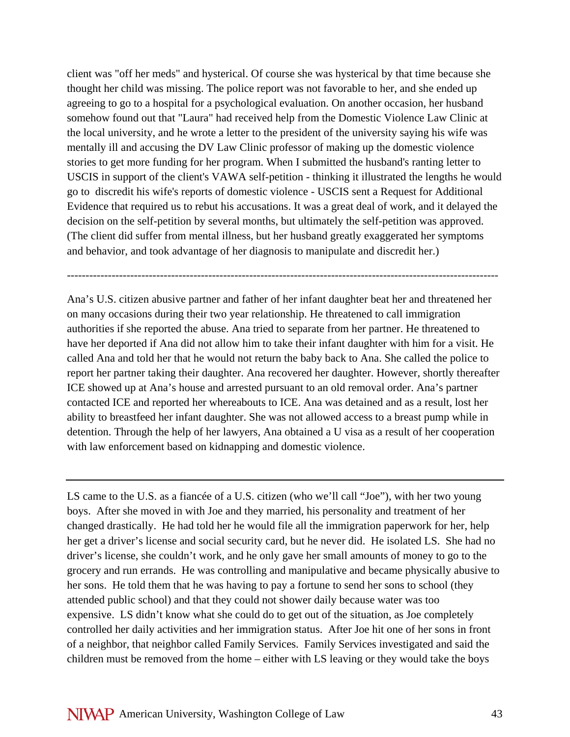client was "off her meds" and hysterical. Of course she was hysterical by that time because she thought her child was missing. The police report was not favorable to her, and she ended up agreeing to go to a hospital for a psychological evaluation. On another occasion, her husband somehow found out that "Laura" had received help from the Domestic Violence Law Clinic at the local university, and he wrote a letter to the president of the university saying his wife was mentally ill and accusing the DV Law Clinic professor of making up the domestic violence stories to get more funding for her program. When I submitted the husband's ranting letter to USCIS in support of the client's VAWA self-petition - thinking it illustrated the lengths he would go to discredit his wife's reports of domestic violence - USCIS sent a Request for Additional Evidence that required us to rebut his accusations. It was a great deal of work, and it delayed the decision on the self-petition by several months, but ultimately the self-petition was approved. (The client did suffer from mental illness, but her husband greatly exaggerated her symptoms and behavior, and took advantage of her diagnosis to manipulate and discredit her.)

Ana's U.S. citizen abusive partner and father of her infant daughter beat her and threatened her on many occasions during their two year relationship. He threatened to call immigration authorities if she reported the abuse. Ana tried to separate from her partner. He threatened to have her deported if Ana did not allow him to take their infant daughter with him for a visit. He called Ana and told her that he would not return the baby back to Ana. She called the police to report her partner taking their daughter. Ana recovered her daughter. However, shortly thereafter ICE showed up at Ana's house and arrested pursuant to an old removal order. Ana's partner contacted ICE and reported her whereabouts to ICE. Ana was detained and as a result, lost her ability to breastfeed her infant daughter. She was not allowed access to a breast pump while in detention. Through the help of her lawyers, Ana obtained a U visa as a result of her cooperation with law enforcement based on kidnapping and domestic violence.

--------------------------------------------------------------------------------------------------------------------

LS came to the U.S. as a fiancée of a U.S. citizen (who we'll call "Joe"), with her two young boys. After she moved in with Joe and they married, his personality and treatment of her changed drastically. He had told her he would file all the immigration paperwork for her, help her get a driver's license and social security card, but he never did. He isolated LS. She had no driver's license, she couldn't work, and he only gave her small amounts of money to go to the grocery and run errands. He was controlling and manipulative and became physically abusive to her sons. He told them that he was having to pay a fortune to send her sons to school (they attended public school) and that they could not shower daily because water was too expensive. LS didn't know what she could do to get out of the situation, as Joe completely controlled her daily activities and her immigration status. After Joe hit one of her sons in front of a neighbor, that neighbor called Family Services. Family Services investigated and said the children must be removed from the home – either with LS leaving or they would take the boys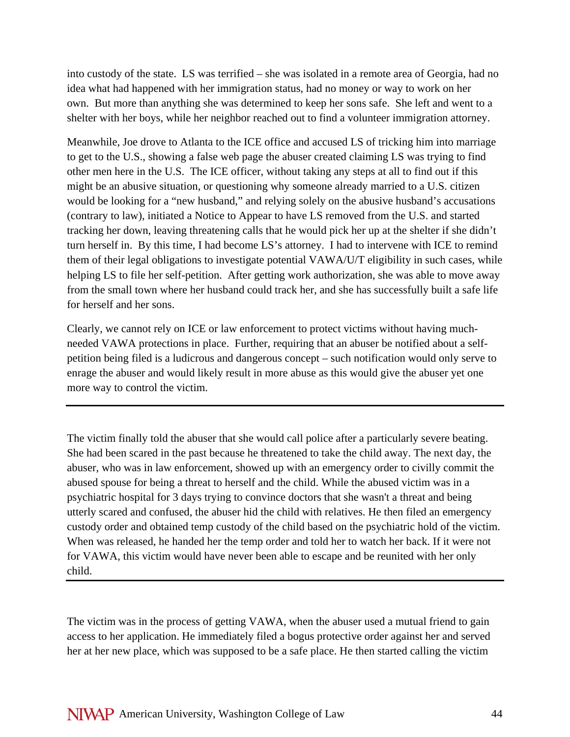into custody of the state. LS was terrified – she was isolated in a remote area of Georgia, had no idea what had happened with her immigration status, had no money or way to work on her own. But more than anything she was determined to keep her sons safe. She left and went to a shelter with her boys, while her neighbor reached out to find a volunteer immigration attorney.

Meanwhile, Joe drove to Atlanta to the ICE office and accused LS of tricking him into marriage to get to the U.S., showing a false web page the abuser created claiming LS was trying to find other men here in the U.S. The ICE officer, without taking any steps at all to find out if this might be an abusive situation, or questioning why someone already married to a U.S. citizen would be looking for a "new husband," and relying solely on the abusive husband's accusations (contrary to law), initiated a Notice to Appear to have LS removed from the U.S. and started tracking her down, leaving threatening calls that he would pick her up at the shelter if she didn't turn herself in. By this time, I had become LS's attorney. I had to intervene with ICE to remind them of their legal obligations to investigate potential VAWA/U/T eligibility in such cases, while helping LS to file her self-petition. After getting work authorization, she was able to move away from the small town where her husband could track her, and she has successfully built a safe life for herself and her sons.

Clearly, we cannot rely on ICE or law enforcement to protect victims without having muchneeded VAWA protections in place. Further, requiring that an abuser be notified about a selfpetition being filed is a ludicrous and dangerous concept – such notification would only serve to enrage the abuser and would likely result in more abuse as this would give the abuser yet one more way to control the victim.

The victim finally told the abuser that she would call police after a particularly severe beating. She had been scared in the past because he threatened to take the child away. The next day, the abuser, who was in law enforcement, showed up with an emergency order to civilly commit the abused spouse for being a threat to herself and the child. While the abused victim was in a psychiatric hospital for 3 days trying to convince doctors that she wasn't a threat and being utterly scared and confused, the abuser hid the child with relatives. He then filed an emergency custody order and obtained temp custody of the child based on the psychiatric hold of the victim. When was released, he handed her the temp order and told her to watch her back. If it were not for VAWA, this victim would have never been able to escape and be reunited with her only child.

The victim was in the process of getting VAWA, when the abuser used a mutual friend to gain access to her application. He immediately filed a bogus protective order against her and served her at her new place, which was supposed to be a safe place. He then started calling the victim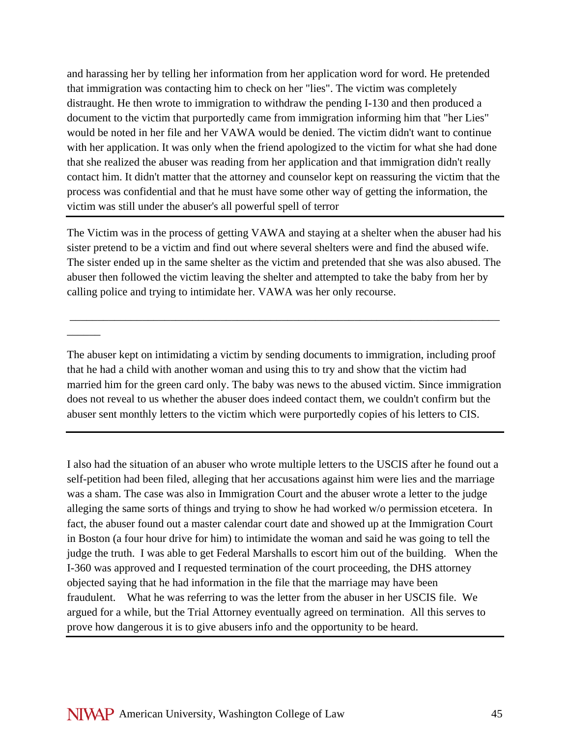and harassing her by telling her information from her application word for word. He pretended that immigration was contacting him to check on her "lies". The victim was completely distraught. He then wrote to immigration to withdraw the pending I-130 and then produced a document to the victim that purportedly came from immigration informing him that "her Lies" would be noted in her file and her VAWA would be denied. The victim didn't want to continue with her application. It was only when the friend apologized to the victim for what she had done that she realized the abuser was reading from her application and that immigration didn't really contact him. It didn't matter that the attorney and counselor kept on reassuring the victim that the process was confidential and that he must have some other way of getting the information, the victim was still under the abuser's all powerful spell of terror

The Victim was in the process of getting VAWA and staying at a shelter when the abuser had his sister pretend to be a victim and find out where several shelters were and find the abused wife. The sister ended up in the same shelter as the victim and pretended that she was also abused. The abuser then followed the victim leaving the shelter and attempted to take the baby from her by calling police and trying to intimidate her. VAWA was her only recourse.

\_\_\_\_\_\_\_\_\_\_\_\_\_\_\_\_\_\_\_\_\_\_\_\_\_\_\_\_\_\_\_\_\_\_\_\_\_\_\_\_\_\_\_\_\_\_\_\_\_\_\_\_\_\_\_\_\_\_\_\_\_\_\_\_\_\_\_\_\_\_\_\_\_\_\_\_\_

The abuser kept on intimidating a victim by sending documents to immigration, including proof that he had a child with another woman and using this to try and show that the victim had married him for the green card only. The baby was news to the abused victim. Since immigration does not reveal to us whether the abuser does indeed contact them, we couldn't confirm but the abuser sent monthly letters to the victim which were purportedly copies of his letters to CIS.

I also had the situation of an abuser who wrote multiple letters to the USCIS after he found out a self-petition had been filed, alleging that her accusations against him were lies and the marriage was a sham. The case was also in Immigration Court and the abuser wrote a letter to the judge alleging the same sorts of things and trying to show he had worked w/o permission etcetera. In fact, the abuser found out a master calendar court date and showed up at the Immigration Court in Boston (a four hour drive for him) to intimidate the woman and said he was going to tell the judge the truth. I was able to get Federal Marshalls to escort him out of the building. When the I-360 was approved and I requested termination of the court proceeding, the DHS attorney objected saying that he had information in the file that the marriage may have been fraudulent. What he was referring to was the letter from the abuser in her USCIS file. We argued for a while, but the Trial Attorney eventually agreed on termination. All this serves to prove how dangerous it is to give abusers info and the opportunity to be heard.

 $\overline{\phantom{a}}$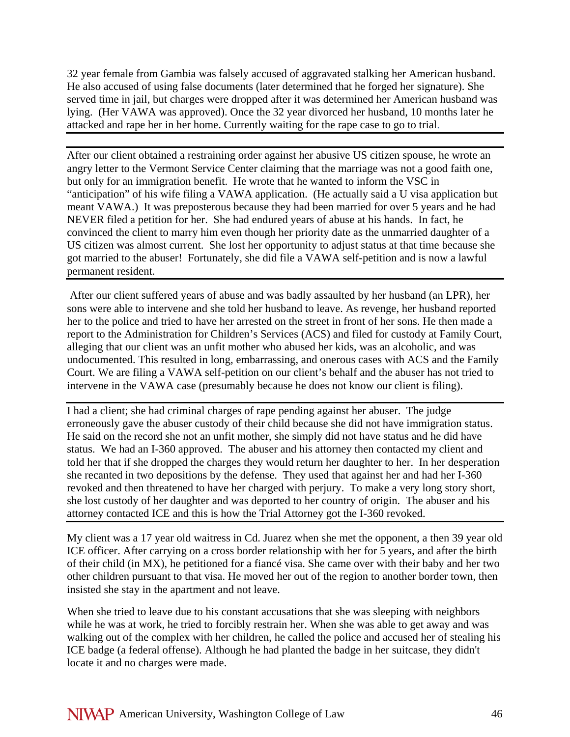32 year female from Gambia was falsely accused of aggravated stalking her American husband. He also accused of using false documents (later determined that he forged her signature). She served time in jail, but charges were dropped after it was determined her American husband was lying. (Her VAWA was approved). Once the 32 year divorced her husband, 10 months later he attacked and rape her in her home. Currently waiting for the rape case to go to trial.

After our client obtained a restraining order against her abusive US citizen spouse, he wrote an angry letter to the Vermont Service Center claiming that the marriage was not a good faith one, but only for an immigration benefit. He wrote that he wanted to inform the VSC in "anticipation" of his wife filing a VAWA application. (He actually said a U visa application but meant VAWA.) It was preposterous because they had been married for over 5 years and he had NEVER filed a petition for her. She had endured years of abuse at his hands. In fact, he convinced the client to marry him even though her priority date as the unmarried daughter of a US citizen was almost current. She lost her opportunity to adjust status at that time because she got married to the abuser! Fortunately, she did file a VAWA self-petition and is now a lawful permanent resident.

 After our client suffered years of abuse and was badly assaulted by her husband (an LPR), her sons were able to intervene and she told her husband to leave. As revenge, her husband reported her to the police and tried to have her arrested on the street in front of her sons. He then made a report to the Administration for Children's Services (ACS) and filed for custody at Family Court, alleging that our client was an unfit mother who abused her kids, was an alcoholic, and was undocumented. This resulted in long, embarrassing, and onerous cases with ACS and the Family Court. We are filing a VAWA self-petition on our client's behalf and the abuser has not tried to intervene in the VAWA case (presumably because he does not know our client is filing).

I had a client; she had criminal charges of rape pending against her abuser. The judge erroneously gave the abuser custody of their child because she did not have immigration status. He said on the record she not an unfit mother, she simply did not have status and he did have status. We had an I-360 approved. The abuser and his attorney then contacted my client and told her that if she dropped the charges they would return her daughter to her. In her desperation she recanted in two depositions by the defense. They used that against her and had her I-360 revoked and then threatened to have her charged with perjury. To make a very long story short, she lost custody of her daughter and was deported to her country of origin. The abuser and his attorney contacted ICE and this is how the Trial Attorney got the I-360 revoked.

My client was a 17 year old waitress in Cd. Juarez when she met the opponent, a then 39 year old ICE officer. After carrying on a cross border relationship with her for 5 years, and after the birth of their child (in MX), he petitioned for a fiancé visa. She came over with their baby and her two other children pursuant to that visa. He moved her out of the region to another border town, then insisted she stay in the apartment and not leave.

When she tried to leave due to his constant accusations that she was sleeping with neighbors while he was at work, he tried to forcibly restrain her. When she was able to get away and was walking out of the complex with her children, he called the police and accused her of stealing his ICE badge (a federal offense). Although he had planted the badge in her suitcase, they didn't locate it and no charges were made.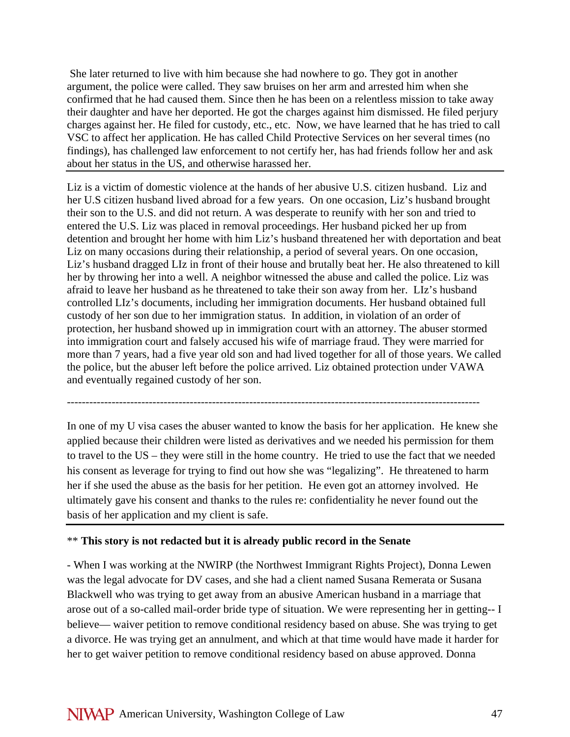She later returned to live with him because she had nowhere to go. They got in another argument, the police were called. They saw bruises on her arm and arrested him when she confirmed that he had caused them. Since then he has been on a relentless mission to take away their daughter and have her deported. He got the charges against him dismissed. He filed perjury charges against her. He filed for custody, etc., etc. Now, we have learned that he has tried to call VSC to affect her application. He has called Child Protective Services on her several times (no findings), has challenged law enforcement to not certify her, has had friends follow her and ask about her status in the US, and otherwise harassed her.

Liz is a victim of domestic violence at the hands of her abusive U.S. citizen husband. Liz and her U.S citizen husband lived abroad for a few years. On one occasion, Liz's husband brought their son to the U.S. and did not return. A was desperate to reunify with her son and tried to entered the U.S. Liz was placed in removal proceedings. Her husband picked her up from detention and brought her home with him Liz's husband threatened her with deportation and beat Liz on many occasions during their relationship, a period of several years. On one occasion, Liz's husband dragged LIz in front of their house and brutally beat her. He also threatened to kill her by throwing her into a well. A neighbor witnessed the abuse and called the police. Liz was afraid to leave her husband as he threatened to take their son away from her. LIz's husband controlled LIz's documents, including her immigration documents. Her husband obtained full custody of her son due to her immigration status. In addition, in violation of an order of protection, her husband showed up in immigration court with an attorney. The abuser stormed into immigration court and falsely accused his wife of marriage fraud. They were married for more than 7 years, had a five year old son and had lived together for all of those years. We called the police, but the abuser left before the police arrived. Liz obtained protection under VAWA and eventually regained custody of her son.

---------------------------------------------------------------------------------------------------------------

In one of my U visa cases the abuser wanted to know the basis for her application. He knew she applied because their children were listed as derivatives and we needed his permission for them to travel to the US – they were still in the home country. He tried to use the fact that we needed his consent as leverage for trying to find out how she was "legalizing". He threatened to harm her if she used the abuse as the basis for her petition. He even got an attorney involved. He ultimately gave his consent and thanks to the rules re: confidentiality he never found out the basis of her application and my client is safe.

# \*\* **This story is not redacted but it is already public record in the Senate**

- When I was working at the NWIRP (the Northwest Immigrant Rights Project), Donna Lewen was the legal advocate for DV cases, and she had a client named Susana Remerata or Susana Blackwell who was trying to get away from an abusive American husband in a marriage that arose out of a so-called mail-order bride type of situation. We were representing her in getting-- I believe— waiver petition to remove conditional residency based on abuse. She was trying to get a divorce. He was trying get an annulment, and which at that time would have made it harder for her to get waiver petition to remove conditional residency based on abuse approved. Donna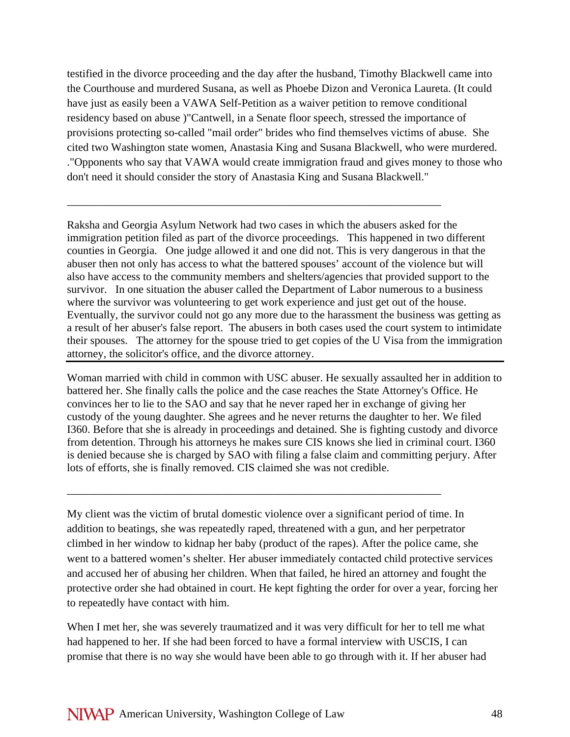testified in the divorce proceeding and the day after the husband, Timothy Blackwell came into the Courthouse and murdered Susana, as well as Phoebe Dizon and Veronica Laureta. (It could have just as easily been a VAWA Self-Petition as a waiver petition to remove conditional residency based on abuse )"Cantwell, in a Senate floor speech, stressed the importance of provisions protecting so-called "mail order" brides who find themselves victims of abuse. She cited two Washington state women, Anastasia King and Susana Blackwell, who were murdered. ."Opponents who say that VAWA would create immigration fraud and gives money to those who don't need it should consider the story of Anastasia King and Susana Blackwell."

\_\_\_\_\_\_\_\_\_\_\_\_\_\_\_\_\_\_\_\_\_\_\_\_\_\_\_\_\_\_\_\_\_\_\_\_\_\_\_\_\_\_\_\_\_\_\_\_\_\_\_\_\_\_\_\_\_\_\_\_\_\_\_\_\_\_\_

Raksha and Georgia Asylum Network had two cases in which the abusers asked for the immigration petition filed as part of the divorce proceedings. This happened in two different counties in Georgia. One judge allowed it and one did not. This is very dangerous in that the abuser then not only has access to what the battered spouses' account of the violence but will also have access to the community members and shelters/agencies that provided support to the survivor. In one situation the abuser called the Department of Labor numerous to a business where the survivor was volunteering to get work experience and just get out of the house. Eventually, the survivor could not go any more due to the harassment the business was getting as a result of her abuser's false report. The abusers in both cases used the court system to intimidate their spouses. The attorney for the spouse tried to get copies of the U Visa from the immigration attorney, the solicitor's office, and the divorce attorney.

Woman married with child in common with USC abuser. He sexually assaulted her in addition to battered her. She finally calls the police and the case reaches the State Attorney's Office. He convinces her to lie to the SAO and say that he never raped her in exchange of giving her custody of the young daughter. She agrees and he never returns the daughter to her. We filed I360. Before that she is already in proceedings and detained. She is fighting custody and divorce from detention. Through his attorneys he makes sure CIS knows she lied in criminal court. I360 is denied because she is charged by SAO with filing a false claim and committing perjury. After lots of efforts, she is finally removed. CIS claimed she was not credible.

My client was the victim of brutal domestic violence over a significant period of time. In addition to beatings, she was repeatedly raped, threatened with a gun, and her perpetrator climbed in her window to kidnap her baby (product of the rapes). After the police came, she went to a battered women's shelter. Her abuser immediately contacted child protective services and accused her of abusing her children. When that failed, he hired an attorney and fought the protective order she had obtained in court. He kept fighting the order for over a year, forcing her to repeatedly have contact with him.

\_\_\_\_\_\_\_\_\_\_\_\_\_\_\_\_\_\_\_\_\_\_\_\_\_\_\_\_\_\_\_\_\_\_\_\_\_\_\_\_\_\_\_\_\_\_\_\_\_\_\_\_\_\_\_\_\_\_\_\_\_\_\_\_\_\_\_

When I met her, she was severely traumatized and it was very difficult for her to tell me what had happened to her. If she had been forced to have a formal interview with USCIS, I can promise that there is no way she would have been able to go through with it. If her abuser had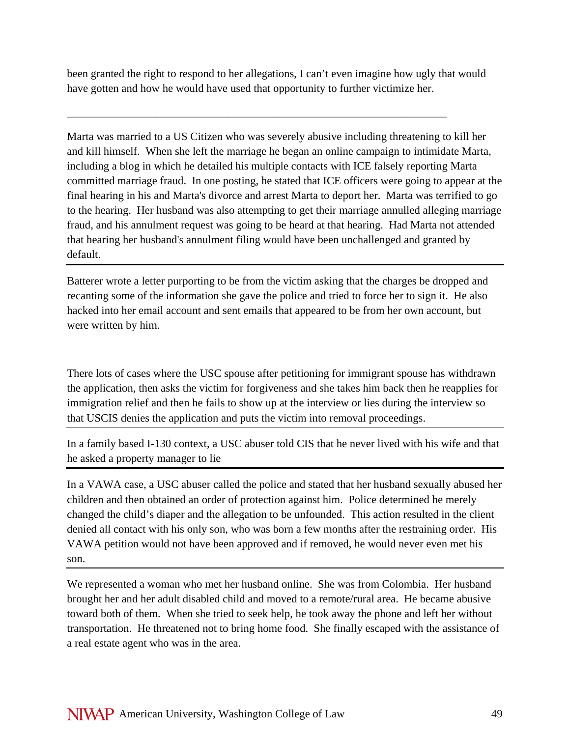been granted the right to respond to her allegations, I can't even imagine how ugly that would have gotten and how he would have used that opportunity to further victimize her.

\_\_\_\_\_\_\_\_\_\_\_\_\_\_\_\_\_\_\_\_\_\_\_\_\_\_\_\_\_\_\_\_\_\_\_\_\_\_\_\_\_\_\_\_\_\_\_\_\_\_\_\_\_\_\_\_\_\_\_\_\_\_\_\_\_\_\_\_

Marta was married to a US Citizen who was severely abusive including threatening to kill her and kill himself. When she left the marriage he began an online campaign to intimidate Marta, including a blog in which he detailed his multiple contacts with ICE falsely reporting Marta committed marriage fraud. In one posting, he stated that ICE officers were going to appear at the final hearing in his and Marta's divorce and arrest Marta to deport her. Marta was terrified to go to the hearing. Her husband was also attempting to get their marriage annulled alleging marriage fraud, and his annulment request was going to be heard at that hearing. Had Marta not attended that hearing her husband's annulment filing would have been unchallenged and granted by default.

Batterer wrote a letter purporting to be from the victim asking that the charges be dropped and recanting some of the information she gave the police and tried to force her to sign it. He also hacked into her email account and sent emails that appeared to be from her own account, but were written by him.

There lots of cases where the USC spouse after petitioning for immigrant spouse has withdrawn the application, then asks the victim for forgiveness and she takes him back then he reapplies for immigration relief and then he fails to show up at the interview or lies during the interview so that USCIS denies the application and puts the victim into removal proceedings.

In a family based I-130 context, a USC abuser told CIS that he never lived with his wife and that he asked a property manager to lie

In a VAWA case, a USC abuser called the police and stated that her husband sexually abused her children and then obtained an order of protection against him. Police determined he merely changed the child's diaper and the allegation to be unfounded. This action resulted in the client denied all contact with his only son, who was born a few months after the restraining order. His VAWA petition would not have been approved and if removed, he would never even met his son.

We represented a woman who met her husband online. She was from Colombia. Her husband brought her and her adult disabled child and moved to a remote/rural area. He became abusive toward both of them. When she tried to seek help, he took away the phone and left her without transportation. He threatened not to bring home food. She finally escaped with the assistance of a real estate agent who was in the area.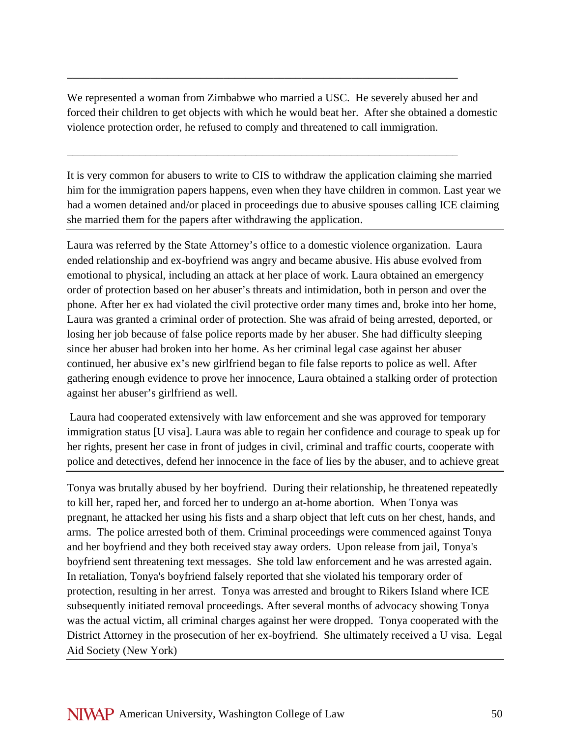We represented a woman from Zimbabwe who married a USC. He severely abused her and forced their children to get objects with which he would beat her. After she obtained a domestic violence protection order, he refused to comply and threatened to call immigration.

\_\_\_\_\_\_\_\_\_\_\_\_\_\_\_\_\_\_\_\_\_\_\_\_\_\_\_\_\_\_\_\_\_\_\_\_\_\_\_\_\_\_\_\_\_\_\_\_\_\_\_\_\_\_\_\_\_\_\_\_\_\_\_\_\_\_\_\_\_\_

\_\_\_\_\_\_\_\_\_\_\_\_\_\_\_\_\_\_\_\_\_\_\_\_\_\_\_\_\_\_\_\_\_\_\_\_\_\_\_\_\_\_\_\_\_\_\_\_\_\_\_\_\_\_\_\_\_\_\_\_\_\_\_\_\_\_\_\_\_\_

It is very common for abusers to write to CIS to withdraw the application claiming she married him for the immigration papers happens, even when they have children in common. Last year we had a women detained and/or placed in proceedings due to abusive spouses calling ICE claiming she married them for the papers after withdrawing the application.

Laura was referred by the State Attorney's office to a domestic violence organization. Laura ended relationship and ex-boyfriend was angry and became abusive. His abuse evolved from emotional to physical, including an attack at her place of work. Laura obtained an emergency order of protection based on her abuser's threats and intimidation, both in person and over the phone. After her ex had violated the civil protective order many times and, broke into her home, Laura was granted a criminal order of protection. She was afraid of being arrested, deported, or losing her job because of false police reports made by her abuser. She had difficulty sleeping since her abuser had broken into her home. As her criminal legal case against her abuser continued, her abusive ex's new girlfriend began to file false reports to police as well. After gathering enough evidence to prove her innocence, Laura obtained a stalking order of protection against her abuser's girlfriend as well.

 Laura had cooperated extensively with law enforcement and she was approved for temporary immigration status [U visa]. Laura was able to regain her confidence and courage to speak up for her rights, present her case in front of judges in civil, criminal and traffic courts, cooperate with police and detectives, defend her innocence in the face of lies by the abuser, and to achieve great

Tonya was brutally abused by her boyfriend. During their relationship, he threatened repeatedly to kill her, raped her, and forced her to undergo an at-home abortion. When Tonya was pregnant, he attacked her using his fists and a sharp object that left cuts on her chest, hands, and arms. The police arrested both of them. Criminal proceedings were commenced against Tonya and her boyfriend and they both received stay away orders. Upon release from jail, Tonya's boyfriend sent threatening text messages. She told law enforcement and he was arrested again. In retaliation, Tonya's boyfriend falsely reported that she violated his temporary order of protection, resulting in her arrest. Tonya was arrested and brought to Rikers Island where ICE subsequently initiated removal proceedings. After several months of advocacy showing Tonya was the actual victim, all criminal charges against her were dropped. Tonya cooperated with the District Attorney in the prosecution of her ex-boyfriend. She ultimately received a U visa. Legal Aid Society (New York)